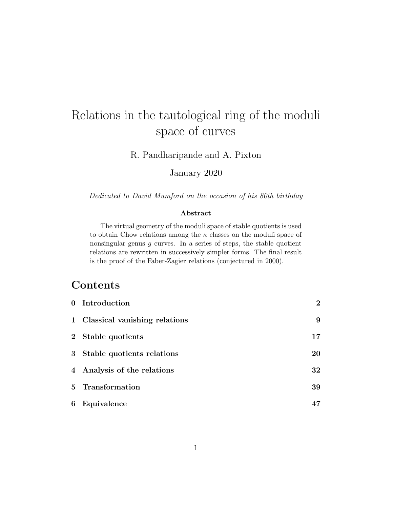# Relations in the tautological ring of the moduli space of curves

R. Pandharipande and A. Pixton

January 2020

*Dedicated to David Mumford on the occasion of his 80th birthday*

#### Abstract

The virtual geometry of the moduli space of stable quotients is used to obtain Chow relations among the  $\kappa$  classes on the moduli space of nonsingular genus  $g$  curves. In a series of steps, the stable quotient relations are rewritten in successively simpler forms. The final result is the proof of the Faber-Zagier relations (conjectured in 2000).

# **Contents**

|                | 0 Introduction                  | $\overline{2}$ |
|----------------|---------------------------------|----------------|
|                | 1 Classical vanishing relations | 9              |
| 2 <sub>2</sub> | Stable quotients                | 17             |
| 3 <sup>1</sup> | Stable quotients relations      | 20             |
|                | 4 Analysis of the relations     | 32             |
|                | 5 Transformation                | 39             |
| 6              | Equivalence                     | 47             |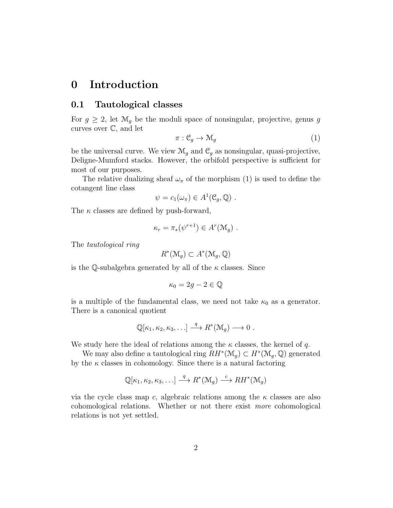# 0 Introduction

#### 0.1 Tautological classes

For  $g \geq 2$ , let  $\mathcal{M}_g$  be the moduli space of nonsingular, projective, genus g curves over C, and let

$$
\pi: \mathcal{C}_g \to \mathcal{M}_g \tag{1}
$$

be the universal curve. We view  $\mathcal{M}_q$  and  $\mathcal{C}_q$  as nonsingular, quasi-projective, Deligne-Mumford stacks. However, the orbifold perspective is sufficient for most of our purposes.

The relative dualizing sheaf  $\omega_{\pi}$  of the morphism (1) is used to define the cotangent line class

$$
\psi = c_1(\omega_\pi) \in A^1(\mathcal{C}_g, \mathbb{Q}) \ .
$$

The  $\kappa$  classes are defined by push-forward,

$$
\kappa_r = \pi_*(\psi^{r+1}) \in A^r(\mathcal{M}_g) .
$$

The *tautological ring*

$$
R^*(\mathcal{M}_g)\subset A^*(\mathcal{M}_g,\mathbb{Q})
$$

is the Q-subalgebra generated by all of the  $\kappa$  classes. Since

$$
\kappa_0 = 2g - 2 \in \mathbb{Q}
$$

is a multiple of the fundamental class, we need not take  $\kappa_0$  as a generator. There is a canonical quotient

$$
\mathbb{Q}[\kappa_1,\kappa_2,\kappa_3,\ldots]\stackrel{q}{\longrightarrow}R^*(\mathcal{M}_g)\longrightarrow 0.
$$

We study here the ideal of relations among the  $\kappa$  classes, the kernel of q.

We may also define a tautological ring  $RH^*(\mathcal{M}_g) \subset H^*(\mathcal{M}_g, \mathbb{Q})$  generated by the  $\kappa$  classes in cohomology. Since there is a natural factoring

$$
\mathbb{Q}[\kappa_1, \kappa_2, \kappa_3, \ldots] \stackrel{q}{\longrightarrow} R^*(\mathcal{M}_g) \stackrel{c}{\longrightarrow} RH^*(\mathcal{M}_g)
$$

via the cycle class map c, algebraic relations among the  $\kappa$  classes are also cohomological relations. Whether or not there exist *more* cohomological relations is not yet settled.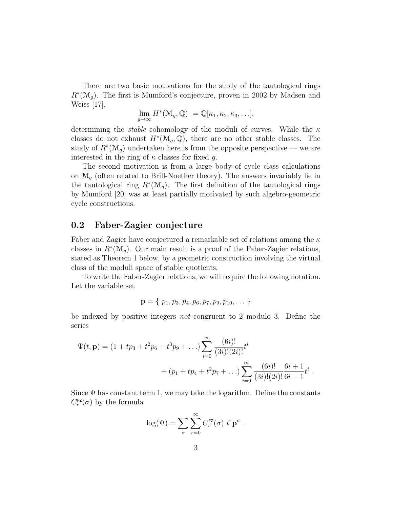There are two basic motivations for the study of the tautological rings  $R^*(\mathcal{M}_g)$ . The first is Mumford's conjecture, proven in 2002 by Madsen and Weiss [17],

$$
\lim_{g\to\infty} H^*(\mathcal{M}_g, \mathbb{Q}) = \mathbb{Q}[\kappa_1, \kappa_2, \kappa_3, \ldots],
$$

determining the *stable* cohomology of the moduli of curves. While the  $\kappa$ classes do not exhaust  $H^*(\mathcal{M}_g, \mathbb{Q})$ , there are no other stable classes. The study of  $R^*(\mathcal{M}_g)$  undertaken here is from the opposite perspective — we are interested in the ring of  $\kappa$  classes for fixed g.

The second motivation is from a large body of cycle class calculations on  $\mathcal{M}_q$  (often related to Brill-Noether theory). The answers invariably lie in the tautological ring  $R^*(\mathcal{M}_g)$ . The first definition of the tautological rings by Mumford [20] was at least partially motivated by such algebro-geometric cycle constructions.

### 0.2 Faber-Zagier conjecture

Faber and Zagier have conjectured a remarkable set of relations among the  $\kappa$ classes in  $R^*(\mathcal{M}_g)$ . Our main result is a proof of the Faber-Zagier relations, stated as Theorem 1 below, by a geometric construction involving the virtual class of the moduli space of stable quotients.

To write the Faber-Zagier relations, we will require the following notation. Let the variable set

$$
\mathbf{p} = \{p_1, p_3, p_4, p_6, p_7, p_9, p_{10}, \dots\}
$$

be indexed by positive integers *not* congruent to 2 modulo 3. Define the series

$$
\Psi(t, \mathbf{p}) = (1 + tp_3 + t^2 p_6 + t^3 p_9 + ...) \sum_{i=0}^{\infty} \frac{(6i)!}{(3i)!(2i)!} t^i
$$
  
+  $(p_1 + tp_4 + t^2 p_7 + ...) \sum_{i=0}^{\infty} \frac{(6i)!}{(3i)!(2i)!} \frac{6i+1}{6i-1} t^i$ .

Since  $\Psi$  has constant term 1, we may take the logarithm. Define the constants  $C_r^{\text{FZ}}(\sigma)$  by the formula

$$
\log(\Psi) = \sum_{\sigma} \sum_{r=0}^{\infty} C_r^{\text{FZ}}(\sigma) \ t^r \mathbf{p}^{\sigma} .
$$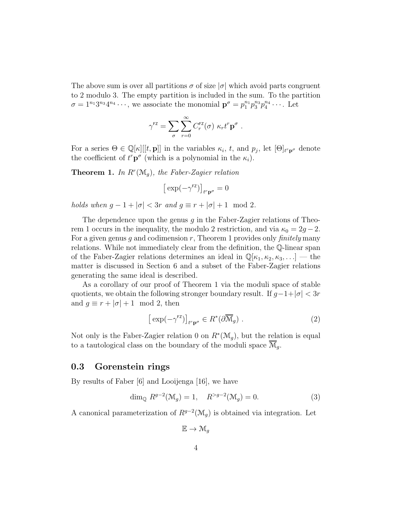The above sum is over all partitions  $\sigma$  of size  $|\sigma|$  which avoid parts congruent to 2 modulo 3. The empty partition is included in the sum. To the partition  $\sigma = 1^{n_1} 3^{n_3} 4^{n_4} \cdots$ , we associate the monomial  $\mathbf{p}^{\sigma} = p_1^{n_1} p_3^{n_3} p_4^{n_4} \cdots$ . Let

$$
\gamma^{\rm FZ} = \sum_{\sigma} \sum_{r=0}^{\infty} C_r^{\rm FZ}(\sigma) \ \kappa_r t^r {\bf p}^{\sigma} \ .
$$

For a series  $\Theta \in \mathbb{Q}[\kappa][[t, \mathbf{p}]]$  in the variables  $\kappa_i$ , t, and  $p_j$ , let  $[\Theta]_{t^r \mathbf{p}^{\sigma}}$  denote the coefficient of  $t^r \mathbf{p}^{\sigma}$  (which is a polynomial in the  $\kappa_i$ ).

**Theorem 1.** In  $R^r(\mathcal{M}_g)$ , the Faber-Zagier relation

$$
\big[\exp(-\gamma^{\rm FZ})\big]_{t^r{\bf p}^\sigma}=0
$$

*holds when*  $g - 1 + |\sigma| < 3r$  *and*  $g \equiv r + |\sigma| + 1 \mod 2$ .

The dependence upon the genus  $g$  in the Faber-Zagier relations of Theorem 1 occurs in the inequality, the modulo 2 restriction, and via  $\kappa_0 = 2g - 2$ . For a given genus g and codimension r, Theorem 1 provides only *finitely* many relations. While not immediately clear from the definition, the Q-linear span of the Faber-Zagier relations determines an ideal in  $\mathbb{Q}[\kappa_1, \kappa_2, \kappa_3, \ldots]$  — the matter is discussed in Section 6 and a subset of the Faber-Zagier relations generating the same ideal is described.

As a corollary of our proof of Theorem 1 via the moduli space of stable quotients, we obtain the following stronger boundary result. If  $g-1+|\sigma| < 3r$ and  $q \equiv r + |\sigma| + 1 \mod 2$ , then

$$
\left[\exp(-\gamma^{\text{FZ}})\right]_{t^r\mathbf{p}^\sigma} \in R^*(\partial \overline{\mathcal{M}}_g) \tag{2}
$$

Not only is the Faber-Zagier relation 0 on  $R^*(\mathcal{M}_g)$ , but the relation is equal to a tautological class on the boundary of the moduli space  $\mathcal{M}_q$ .

#### 0.3 Gorenstein rings

By results of Faber [6] and Looijenga [16], we have

$$
\dim_{\mathbb{Q}} R^{g-2}(\mathcal{M}_g) = 1, \quad R^{>g-2}(\mathcal{M}_g) = 0.
$$
 (3)

A canonical parameterization of  $R^{g-2}(\mathcal{M}_g)$  is obtained via integration. Let

 $\mathbb{E} \to \mathcal{M}_q$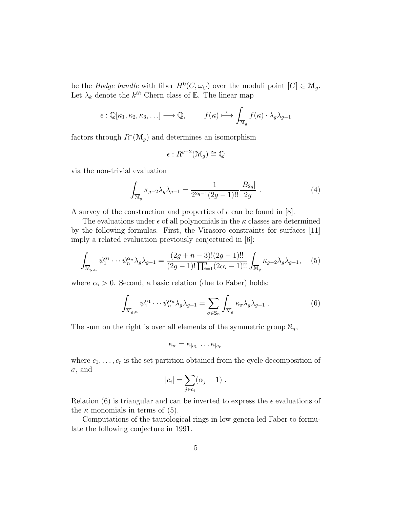be the *Hodge bundle* with fiber  $H^0(C, \omega_C)$  over the moduli point  $[C] \in \mathcal{M}_g$ . Let  $\lambda_k$  denote the  $k^{th}$  Chern class of E. The linear map

$$
\epsilon : \mathbb{Q}[\kappa_1, \kappa_2, \kappa_3, \ldots] \longrightarrow \mathbb{Q}, \qquad f(\kappa) \stackrel{\epsilon}{\longmapsto} \int_{\overline{\mathcal{M}}_g} f(\kappa) \cdot \lambda_g \lambda_{g-1}
$$

factors through  $R^*(\mathcal{M}_g)$  and determines an isomorphism

$$
\epsilon: R^{g-2}(\mathcal{M}_g) \cong \mathbb{Q}
$$

via the non-trivial evaluation

$$
\int_{\overline{\mathcal{M}}_g} \kappa_{g-2} \lambda_g \lambda_{g-1} = \frac{1}{2^{2g-1}(2g-1)!!} \frac{|B_{2g}|}{2g} . \tag{4}
$$

A survey of the construction and properties of  $\epsilon$  can be found in [8].

The evaluations under  $\epsilon$  of all polynomials in the  $\kappa$  classes are determined by the following formulas. First, the Virasoro constraints for surfaces [11] imply a related evaluation previously conjectured in [6]:

$$
\int_{\overline{\mathcal{M}}_{g,n}} \psi_1^{\alpha_1} \cdots \psi_n^{\alpha_n} \lambda_g \lambda_{g-1} = \frac{(2g+n-3)!(2g-1)!!}{(2g-1)!\prod_{i=1}^n (2\alpha_i-1)!!} \int_{\overline{\mathcal{M}}_g} \kappa_{g-2} \lambda_g \lambda_{g-1}, \quad (5)
$$

where  $\alpha_i > 0$ . Second, a basic relation (due to Faber) holds:

$$
\int_{\overline{\mathcal{M}}_{g,n}} \psi_1^{\alpha_1} \cdots \psi_n^{\alpha_n} \lambda_g \lambda_{g-1} = \sum_{\sigma \in \mathsf{S}_n} \int_{\overline{\mathcal{M}}_g} \kappa_\sigma \lambda_g \lambda_{g-1} . \tag{6}
$$

The sum on the right is over all elements of the symmetric group  $\mathbb{S}_n$ ,

$$
\kappa_{\sigma} = \kappa_{|c_1|} \dots \kappa_{|c_r|}
$$

where  $c_1, \ldots, c_r$  is the set partition obtained from the cycle decomposition of  $\sigma$ , and

$$
|c_i| = \sum_{j \in c_i} (\alpha_j - 1) .
$$

Relation (6) is triangular and can be inverted to express the  $\epsilon$  evaluations of the  $\kappa$  monomials in terms of (5).

Computations of the tautological rings in low genera led Faber to formulate the following conjecture in 1991.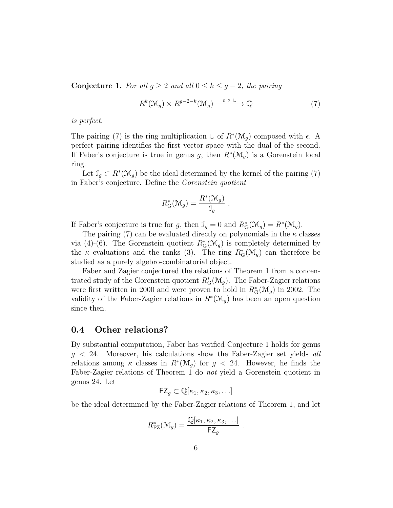Conjecture 1. For all  $g \ge 2$  and all  $0 \le k \le g - 2$ , the pairing

$$
R^k(\mathcal{M}_g) \times R^{g-2-k}(\mathcal{M}_g) \xrightarrow{\epsilon \circ \cup} \mathbb{Q} \tag{7}
$$

*is perfect.*

The pairing (7) is the ring multiplication  $\cup$  of  $R^*(\mathcal{M}_g)$  composed with  $\epsilon$ . A perfect pairing identifies the first vector space with the dual of the second. If Faber's conjecture is true in genus g, then  $R^*(\mathcal{M}_g)$  is a Gorenstein local ring.

Let  $\mathcal{I}_g \subset R^*(\mathcal{M}_g)$  be the ideal determined by the kernel of the pairing (7) in Faber's conjecture. Define the *Gorenstein quotient*

$$
R_{\mathcal{G}}^*(\mathcal{M}_g) = \frac{R^*(\mathcal{M}_g)}{\mathcal{I}_g}.
$$

If Faber's conjecture is true for g, then  $\mathcal{I}_g = 0$  and  $R^*_{\mathcal{G}}(\mathcal{M}_g) = R^*(\mathcal{M}_g)$ .

The pairing (7) can be evaluated directly on polynomials in the  $\kappa$  classes via (4)-(6). The Gorenstein quotient  $R^*_{\mathcal{G}}(\mathcal{M}_g)$  is completely determined by the  $\kappa$  evaluations and the ranks (3). The ring  $R^*_{\mathcal{G}}(\mathcal{M}_g)$  can therefore be studied as a purely algebro-combinatorial object.

Faber and Zagier conjectured the relations of Theorem 1 from a concentrated study of the Gorenstein quotient  $R_G^*(\mathcal{M}_g)$ . The Faber-Zagier relations were first written in 2000 and were proven to hold in  $R_G^*(\mathcal{M}_g)$  in 2002. The validity of the Faber-Zagier relations in  $R^*(\mathcal{M}_g)$  has been an open question since then.

### 0.4 Other relations?

By substantial computation, Faber has verified Conjecture 1 holds for genus g < 24. Moreover, his calculations show the Faber-Zagier set yields *all* relations among  $\kappa$  classes in  $R^*(\mathcal{M}_g)$  for  $g < 24$ . However, he finds the Faber-Zagier relations of Theorem 1 do *not* yield a Gorenstein quotient in genus 24. Let

$$
\mathsf{FZ}_g \subset \mathbb{Q}[\kappa_1, \kappa_2, \kappa_3, \ldots]
$$

be the ideal determined by the Faber-Zagier relations of Theorem 1, and let

$$
R_{\text{FZ}}^*(\mathcal{M}_g) = \frac{\mathbb{Q}[\kappa_1, \kappa_2, \kappa_3, \ldots]}{\mathsf{FZ}_g}.
$$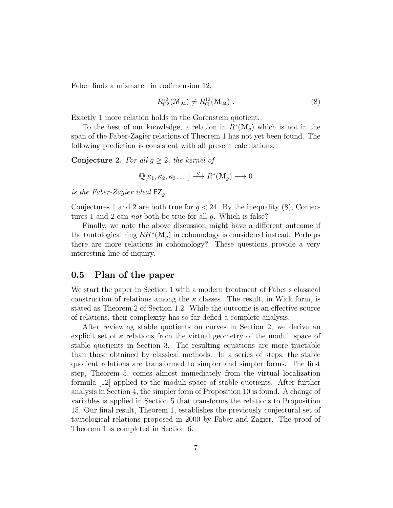Faber finds a mismatch in codimension 12,

$$
R_{\rm FZ}^{12}(\mathcal{M}_{24}) \neq R_{\rm G}^{12}(\mathcal{M}_{24}) \tag{8}
$$

Exactly 1 more relation holds in the Gorenstein quotient.

To the best of our knowledge, a relation in  $R^*(\mathcal{M}_g)$  which is not in the span of the Faber-Zagier relations of Theorem 1 has not yet been found. The following prediction is consistent with all present calculations.

**Conjecture 2.** For all  $g \geq 2$ , the kernel of

$$
\mathbb{Q}[\kappa_1,\kappa_2,\kappa_3,\ldots]\stackrel{q}{\longrightarrow}R^*(\mathfrak{M}_g)\longrightarrow 0
$$

*is the Faber-Zagier ideal*  $FZ_q$ *.* 

Conjectures 1 and 2 are both true for  $g < 24$ . By the inequality (8), Conjectures 1 and 2 can *not* both be true for all g. Which is false?

Finally, we note the above discussion might have a different outcome if the tautological ring  $RH^*(\mathcal{M}_g)$  in cohomology is considered instead. Perhaps there are more relations in cohomology? These questions provide a very interesting line of inquiry.

#### 0.5 Plan of the paper

We start the paper in Section 1 with a modern treatment of Faber's classical construction of relations among the  $\kappa$  classes. The result, in Wick form, is stated as Theorem 2 of Section 1.2. While the outcome is an effective source of relations, their complexity has so far defied a complete analysis.

After reviewing stable quotients on curves in Section 2, we derive an explicit set of  $\kappa$  relations from the virtual geometry of the moduli space of stable quotients in Section 3. The resulting equations are more tractable than those obtained by classical methods. In a series of steps, the stable quotient relations are transformed to simpler and simpler forms. The first step, Theorem 5, comes almost immediately from the virtual localization formula [12] applied to the moduli space of stable quotients. After further analysis in Section 4, the simpler form of Proposition 10 is found. A change of variables is applied in Section 5 that transforms the relations to Proposition 15. Our final result, Theorem 1, establishes the previously conjectural set of tautological relations proposed in 2000 by Faber and Zagier. The proof of Theorem 1 is completed in Section 6.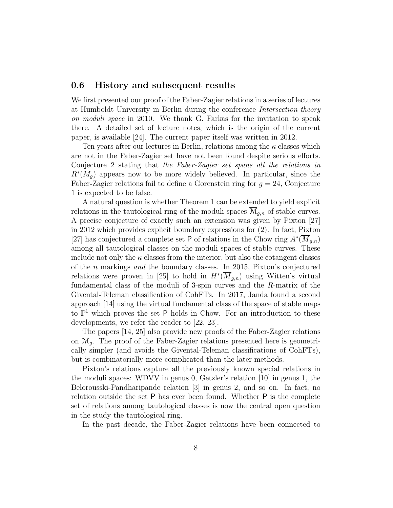### 0.6 History and subsequent results

We first presented our proof of the Faber-Zagier relations in a series of lectures at Humboldt University in Berlin during the conference *Intersection theory on moduli space* in 2010. We thank G. Farkas for the invitation to speak there. A detailed set of lecture notes, which is the origin of the current paper, is available [24]. The current paper itself was written in 2012.

Ten years after our lectures in Berlin, relations among the  $\kappa$  classes which are not in the Faber-Zagier set have not been found despite serious efforts. Conjecture 2 stating that *the Faber-Zagier set spans all the relations in*  $R^*(M_g)$  appears now to be more widely believed. In particular, since the Faber-Zagier relations fail to define a Gorenstein ring for  $q = 24$ , Conjecture 1 is expected to be false.

A natural question is whether Theorem 1 can be extended to yield explicit relations in the tautological ring of the moduli spaces  $\overline{\mathcal{M}}_{q,n}$  of stable curves. A precise conjecture of exactly such an extension was given by Pixton [27] in 2012 which provides explicit boundary expressions for (2). In fact, Pixton [27] has conjectured a complete set P of relations in the Chow ring  $A^*(\overline{M}_{g,n})$ among all tautological classes on the moduli spaces of stable curves. These include not only the  $\kappa$  classes from the interior, but also the cotangent classes of the n markings *and* the boundary classes. In 2015, Pixton's conjectured relations were proven in [25] to hold in  $H^*(\overline{M}_{g,n})$  using Witten's virtual fundamental class of the moduli of 3-spin curves and the R-matrix of the Givental-Teleman classification of CohFTs. In 2017, Janda found a second approach [14] using the virtual fundamental class of the space of stable maps to  $\mathbb{P}^1$  which proves the set P holds in Chow. For an introduction to these developments, we refer the reader to [22, 23].

The papers [14, 25] also provide new proofs of the Faber-Zagier relations on  $\mathcal{M}_q$ . The proof of the Faber-Zagier relations presented here is geometrically simpler (and avoids the Givental-Teleman classifications of CohFTs), but is combinatorially more complicated than the later methods.

Pixton's relations capture all the previously known special relations in the moduli spaces: WDVV in genus 0, Getzler's relation [10] in genus 1, the Belorousski-Pandharipande relation [3] in genus 2, and so on. In fact, no relation outside the set P has ever been found. Whether P is the complete set of relations among tautological classes is now the central open question in the study the tautological ring.

In the past decade, the Faber-Zagier relations have been connected to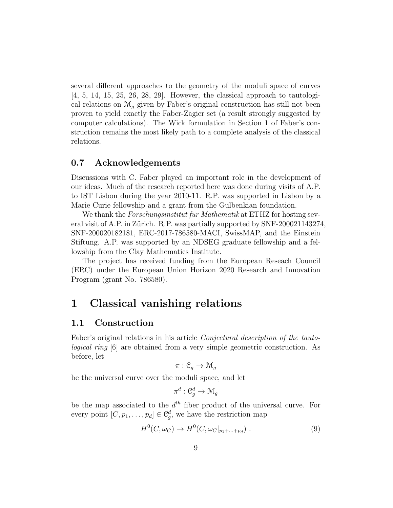several different approaches to the geometry of the moduli space of curves [4, 5, 14, 15, 25, 26, 28, 29]. However, the classical approach to tautological relations on  $\mathcal{M}_g$  given by Faber's original construction has still not been proven to yield exactly the Faber-Zagier set (a result strongly suggested by computer calculations). The Wick formulation in Section 1 of Faber's construction remains the most likely path to a complete analysis of the classical relations.

### 0.7 Acknowledgements

Discussions with C. Faber played an important role in the development of our ideas. Much of the research reported here was done during visits of A.P. to IST Lisbon during the year 2010-11. R.P. was supported in Lisbon by a Marie Curie fellowship and a grant from the Gulbenkian foundation.

We thank the *Forschungsinstitut für Mathematik* at ETHZ for hosting several visit of A.P. in Zürich. R.P. was partially supported by  $SNF-200021143274$ . SNF-200020182181, ERC-2017-786580-MACI, SwissMAP, and the Einstein Stiftung. A.P. was supported by an NDSEG graduate fellowship and a fellowship from the Clay Mathematics Institute.

The project has received funding from the European Reseach Council (ERC) under the European Union Horizon 2020 Research and Innovation Program (grant No. 786580).

## 1 Classical vanishing relations

### 1.1 Construction

Faber's original relations in his article *Conjectural description of the tautological ring* [6] are obtained from a very simple geometric construction. As before, let

$$
\pi: \mathfrak{C}_g \to \mathfrak{M}_g
$$

be the universal curve over the moduli space, and let

$$
\pi^d: \mathfrak{C}_g^d \to \mathfrak{M}_g
$$

be the map associated to the  $d^{th}$  fiber product of the universal curve. For every point  $[C, p_1, \ldots, p_d] \in \mathcal{C}_g^d$ , we have the restriction map

$$
H^{0}(C, \omega_{C}) \to H^{0}(C, \omega_{C}|_{p_{1}+\ldots+p_{d}}) . \tag{9}
$$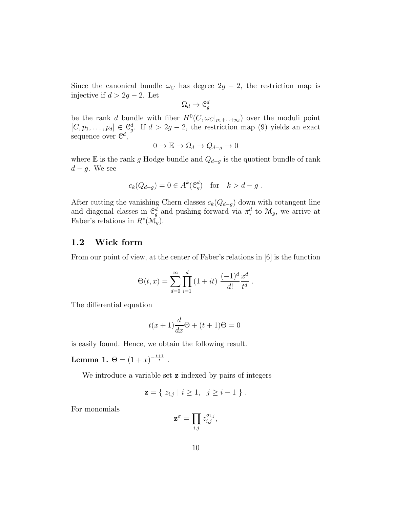Since the canonical bundle  $\omega_C$  has degree  $2g - 2$ , the restriction map is injective if  $d > 2g - 2$ . Let

$$
\Omega_d \to \mathfrak{C}_g^d
$$

be the rank d bundle with fiber  $H^0(C, \omega_C|_{p_1+\ldots+p_d})$  over the moduli point  $[C, p_1, \ldots, p_d] \in \mathcal{C}_g^d$ . If  $d > 2g - 2$ , the restriction map (9) yields an exact sequence over  $\mathcal{C}^d$ ,

$$
0 \to \mathbb{E} \to \Omega_d \to Q_{d-g} \to 0
$$

where E is the rank g Hodge bundle and  $Q_{d-g}$  is the quotient bundle of rank  $d-g$ . We see

$$
c_k(Q_{d-g}) = 0 \in A^k(\mathfrak{C}_g^d) \quad \text{for} \quad k > d-g.
$$

After cutting the vanishing Chern classes  $c_k(Q_{d-g})$  down with cotangent line and diagonal classes in  $\mathcal{C}_g^d$  and pushing-forward via  $\pi_*^d$  to  $\mathcal{M}_g$ , we arrive at Faber's relations in  $R^*(\tilde{M_g})$ .

### 1.2 Wick form

From our point of view, at the center of Faber's relations in [6] is the function

$$
\Theta(t,x) = \sum_{d=0}^{\infty} \prod_{i=1}^{d} (1+it) \frac{(-1)^d x^d}{d!}.
$$

The differential equation

$$
t(x+1)\frac{d}{dx}\Theta + (t+1)\Theta = 0
$$

is easily found. Hence, we obtain the following result.

**Lemma 1.**  $\Theta = (1+x)^{-\frac{t+1}{t}}$ .

We introduce a variable set z indexed by pairs of integers

$$
\mathbf{z} = \{ z_{i,j} \mid i \geq 1, j \geq i-1 \} .
$$

For monomials

$$
\mathbf{z}^{\sigma} = \prod_{i,j} z_{i,j}^{\sigma_{i,j}},
$$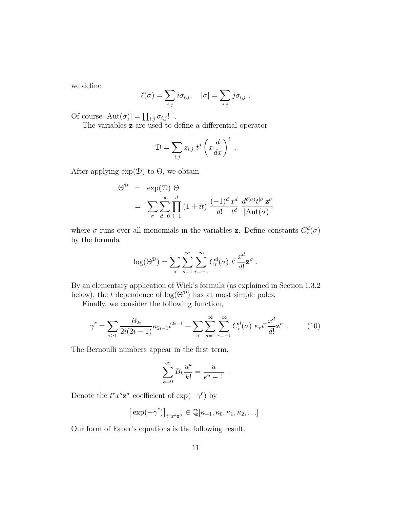we define

$$
\ell(\sigma) = \sum_{i,j} i\sigma_{i,j}, \quad |\sigma| = \sum_{i,j} j\sigma_{i,j} .
$$

Of course  $|\text{Aut}(\sigma)| = \prod_{i,j} \sigma_{i,j}!$ .

The variables z are used to define a differential operator

$$
\mathcal{D} = \sum_{i,j} z_{i,j} t^j \left( x \frac{d}{dx} \right)^i .
$$

After applying  $\exp(\mathcal{D})$  to  $\Theta$ , we obtain

$$
\Theta^{\mathcal{D}} = \exp(\mathcal{D}) \Theta
$$
  
= 
$$
\sum_{\sigma} \sum_{d=0}^{\infty} \prod_{i=1}^{d} (1+it) \frac{(-1)^d}{d!} \frac{x^d}{t^d} \frac{d^{\ell(\sigma)} t^{|\sigma|} \mathbf{z}^{\sigma}}{|\text{Aut}(\sigma)|}
$$

where  $\sigma$  runs over all monomials in the variables **z**. Define constants  $C_r^d(\sigma)$ by the formula

$$
\log(\Theta^{\mathcal{D}}) = \sum_{\sigma} \sum_{d=1}^{\infty} \sum_{r=-1}^{\infty} C_r^d(\sigma) t^r \frac{x^d}{d!} \mathbf{z}^{\sigma} .
$$

By an elementary application of Wick's formula (as explained in Section 1.3.2 below), the t dependence of  $log(\Theta^{\mathcal{D}})$  has at most simple poles.

Finally, we consider the following function,

$$
\gamma^{\mathsf{F}} = \sum_{i \ge 1} \frac{B_{2i}}{2i(2i-1)} \kappa_{2i-1} t^{2i-1} + \sum_{\sigma} \sum_{d=1}^{\infty} \sum_{r=-1}^{\infty} C_r^d(\sigma) \kappa_r t^r \frac{x^d}{d!} \mathbf{z}^{\sigma} . \tag{10}
$$

The Bernoulli numbers appear in the first term,

$$
\sum_{k=0}^{\infty} B_k \frac{u^k}{k!} = \frac{u}{e^u - 1} .
$$

Denote the  $t^r x^d \mathbf{z}^{\sigma}$  coefficient of  $\exp(-\gamma^{\mathsf{F}})$  by

$$
\left[\exp(-\gamma^{\mathsf{F}})\right]_{t^r x^d \mathbf{z}^\sigma} \in \mathbb{Q}[\kappa_{-1}, \kappa_0, \kappa_1, \kappa_2, \ldots].
$$

Our form of Faber's equations is the following result.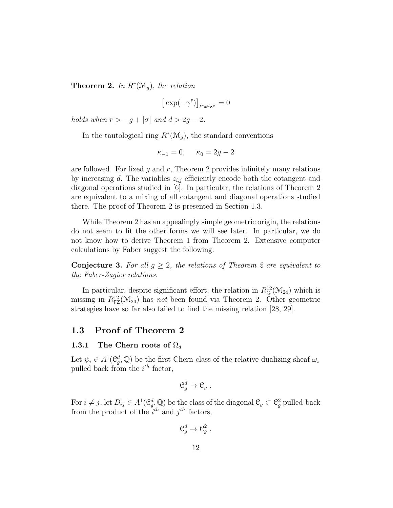**Theorem 2.** In  $R^r(\mathcal{M}_g)$ , the relation

$$
\left[\left.\exp(-\gamma^{\mathrm{F}})\right]_{t^r x^d \mathbf{z}^\sigma}=0
$$

*holds when*  $r > -g + |\sigma|$  *and*  $d > 2g - 2$ *.* 

In the tautological ring  $R^*(\mathcal{M}_g)$ , the standard conventions

$$
\kappa_{-1} = 0
$$
,  $\kappa_0 = 2g - 2$ 

are followed. For fixed g and r, Theorem 2 provides infinitely many relations by increasing d. The variables  $z_{i,j}$  efficiently encode both the cotangent and diagonal operations studied in [6]. In particular, the relations of Theorem 2 are equivalent to a mixing of all cotangent and diagonal operations studied there. The proof of Theorem 2 is presented in Section 1.3.

While Theorem 2 has an appealingly simple geometric origin, the relations do not seem to fit the other forms we will see later. In particular, we do not know how to derive Theorem 1 from Theorem 2. Extensive computer calculations by Faber suggest the following.

**Conjecture 3.** For all  $q \geq 2$ , the relations of Theorem 2 are equivalent to *the Faber-Zagier relations.*

In particular, despite significant effort, the relation in  $R$ <sup>12</sup> $(\mathcal{M}_{24})$  which is missing in  $R_{\text{FZ}}^{12}(\mathcal{M}_{24})$  has *not* been found via Theorem 2. Other geometric strategies have so far also failed to find the missing relation [28, 29].

#### 1.3 Proof of Theorem 2

#### 1.3.1 The Chern roots of  $\Omega_d$

Let  $\psi_i \in A^1(\mathcal{C}_g^d, \mathbb{Q})$  be the first Chern class of the relative dualizing sheaf  $\omega_{\pi}$ pulled back from the  $i^{th}$  factor,

$$
\mathfrak{C}_g^d\to \mathfrak{C}_g\ .
$$

For  $i \neq j$ , let  $D_{ij} \in A^1(\mathcal{C}_g^d, \mathbb{Q})$  be the class of the diagonal  $\mathcal{C}_g \subset \mathcal{C}_g^2$  pulled-back from the product of the  $i^{th}$  and  $j^{th}$  factors,

$$
\mathfrak{C}_g^d \to \mathfrak{C}_g^2 .
$$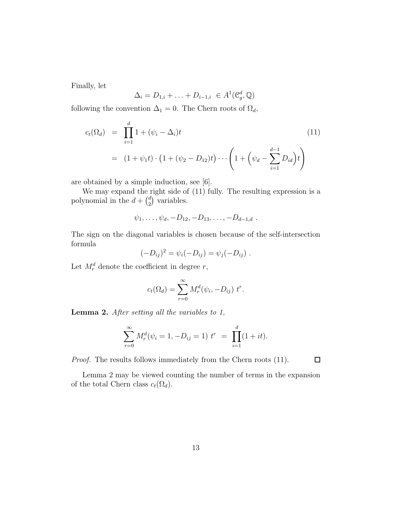Finally, let

$$
\Delta_i = D_{1,i} + \ldots + D_{i-1,i} \in A^1(\mathcal{C}_g^d, \mathbb{Q})
$$

following the convention  $\Delta_1 = 0$ . The Chern roots of  $\Omega_d$ ,

$$
c_t(\Omega_d) = \prod_{i=1}^d 1 + (\psi_i - \Delta_i)t
$$
\n
$$
= (1 + \psi_1 t) \cdot (1 + (\psi_2 - D_{12})t) \cdots \left(1 + (\psi_d - \sum_{i=1}^{d-1} D_{id})t\right)
$$
\n(11)

are obtained by a simple induction, see [6].

We may expand the right side of (11) fully. The resulting expression is a polynomial in the  $d + \binom{d}{2}$  $\binom{d}{2}$  variables.

$$
\psi_1, \ldots, \psi_d, -D_{12}, -D_{13}, \ldots, -D_{d-1,d}
$$
.

The sign on the diagonal variables is chosen because of the self-intersection formula

$$
(-D_{ij})^2 = \psi_i(-D_{ij}) = \psi_j(-D_{ij}) .
$$

Let  $M_r^d$  denote the coefficient in degree r,

$$
c_t(\Omega_d) = \sum_{r=0}^{\infty} M_r^d(\psi_i, -D_{ij}) t^r.
$$

Lemma 2. *After setting all the variables to 1,*

$$
\sum_{r=0}^{\infty} M_r^d(\psi_i = 1, -D_{ij} = 1) t^r = \prod_{i=1}^d (1 + it).
$$

*Proof.* The results follows immediately from the Chern roots  $(11)$ .

 $\Box$ 

Lemma 2 may be viewed counting the number of terms in the expansion of the total Chern class  $c_t(\Omega_d)$ .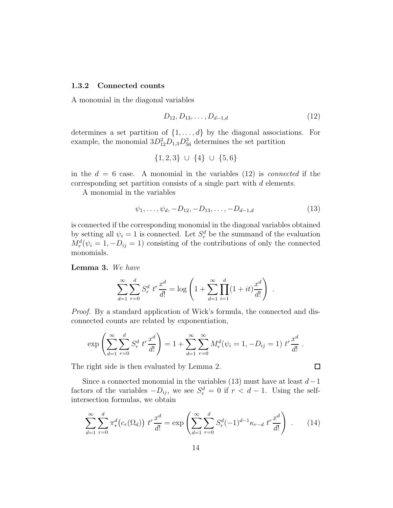#### 1.3.2 Connected counts

A monomial in the diagonal variables

$$
D_{12}, D_{13}, \ldots, D_{d-1,d} \tag{12}
$$

determines a set partition of  $\{1, \ldots, d\}$  by the diagonal associations. For example, the monomial  $3D_{12}^2D_{1,3}D_{56}^3$  determines the set partition

$$
\{1,2,3\} \cup \{4\} \cup \{5,6\}
$$

in the  $d = 6$  case. A monomial in the variables  $(12)$  is *connected* if the corresponding set partition consists of a single part with d elements.

A monomial in the variables

$$
\psi_1, \dots, \psi_d, -D_{12}, -D_{13}, \dots, -D_{d-1,d} \tag{13}
$$

 $\Box$ 

is connected if the corresponding monomial in the diagonal variables obtained by setting all  $\psi_i = 1$  is connected. Let  $S_r^d$  be the summand of the evaluation  $M_r^d(\psi_i = 1, -D_{ij} = 1)$  consisting of the contributions of only the connected monomials.

Lemma 3. *We have*

$$
\sum_{d=1}^{\infty} \sum_{r=0}^{d} S_r^d \ t^r \frac{x^d}{d!} = \log \left( 1 + \sum_{d=1}^{\infty} \prod_{i=1}^{d} (1+it) \frac{x^d}{d!} \right) \ .
$$

*Proof.* By a standard application of Wick's formula, the connected and disconnected counts are related by exponentiation,

$$
\exp\left(\sum_{d=1}^{\infty}\sum_{r=0}^{d} S_r^d t^r \frac{x^d}{d!}\right) = 1 + \sum_{d=1}^{\infty}\sum_{r=0}^{\infty} M_r^d(\psi_i = 1, -D_{ij} = 1) t^r \frac{x^d}{d!}.
$$

The right side is then evaluated by Lemma 2.

Since a connected monomial in the variables (13) must have at least  $d-1$ factors of the variables  $-D_{ij}$ , we see  $S_r^d = 0$  if  $r < d - 1$ . Using the selfintersection formulas, we obtain

$$
\sum_{d=1}^{\infty} \sum_{r=0}^{d} \pi_*^d \big( c_r(\Omega_d) \big) \ t^r \frac{x^d}{d!} = \exp \left( \sum_{d=1}^{\infty} \sum_{r=0}^{d} S_r^d (-1)^{d-1} \kappa_{r-d} \ t^r \frac{x^d}{d!} \right) \ . \tag{14}
$$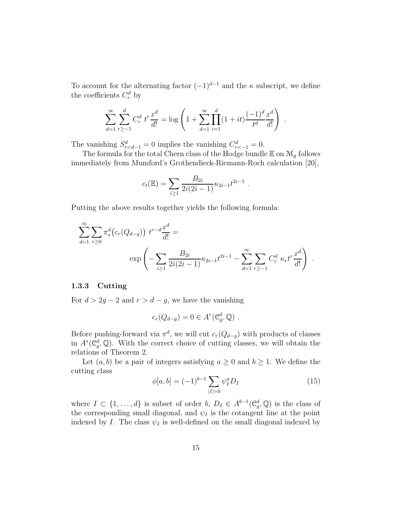To account for the alternating factor  $(-1)^{d-1}$  and the  $\kappa$  subscript, we define the coefficients  $C_r^d$  by

$$
\sum_{d=1}^{\infty} \sum_{r\geq -1}^{d} C_r^d t^r \frac{x^d}{d!} = \log \left( 1 + \sum_{d=1}^{\infty} \prod_{i=1}^{d} (1+it) \frac{(-1)^d x^d}{t^d} \frac{x^d}{d!} \right) .
$$

The vanishing  $S_{r implies the vanishing  $C_{r<-1}^d = 0$ .$ 

The formula for the total Chern class of the Hodge bundle  $\mathbb E$  on  $\mathcal M_q$  follows immediately from Mumford's Grothendieck-Riemann-Roch calculation [20],

$$
c_t(\mathbb{E}) = \sum_{i \geq 1} \frac{B_{2i}}{2i(2i-1)} \kappa_{2i-1} t^{2i-1}.
$$

Putting the above results together yields the following formula:

$$
\sum_{d=1}^{\infty} \sum_{r\geq 0} \pi_*^d (c_r(Q_{d-g})) t^{r-d} \frac{x^d}{d!} =
$$
  
 
$$
\exp\left(-\sum_{i\geq 1} \frac{B_{2i}}{2i(2i-1)} \kappa_{2i-1} t^{2i-1} - \sum_{d=1}^{\infty} \sum_{r\geq -1} C_r^d \kappa_r t^r \frac{x^d}{d!}\right).
$$

#### 1.3.3 Cutting

For  $d > 2g - 2$  and  $r > d - g$ , we have the vanishing

$$
c_r(Q_{d-g})=0\in A^r(\mathcal{C}_g^d,\mathbb{Q})\ .
$$

Before pushing-forward via  $\pi^d$ , we will cut  $c_r(Q_{d-g})$  with products of classes in  $A^*(\mathcal{C}_g^d,\mathbb{Q})$ . With the correct choice of cutting classes, we will obtain the relations of Theorem 2.

Let  $(a, b)$  be a pair of integers satisfying  $a \geq 0$  and  $b \geq 1$ . We define the cutting class

$$
\phi[a, b] = (-1)^{b-1} \sum_{|I|=b} \psi_I^a D_I \tag{15}
$$

where  $I \subset \{1, \ldots, d\}$  is subset of order  $b, D_I \in A^{b-1}(\mathcal{C}_g^d, \mathbb{Q})$  is the class of the corresponding small diagonal, and  $\psi_I$  is the cotangent line at the point indexed by I. The class  $\psi_I$  is well-defined on the small diagonal indexed by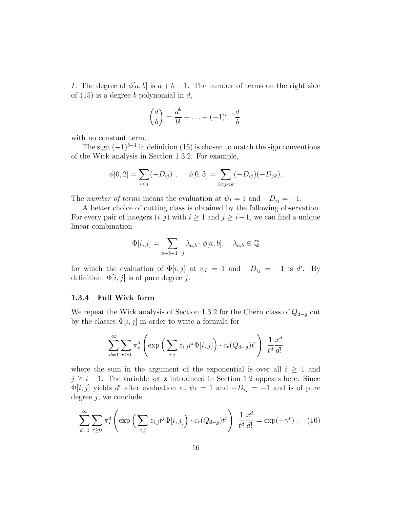I. The degree of  $\phi[a, b]$  is  $a + b - 1$ . The number of terms on the right side of  $(15)$  is a degree b polynomial in d,

$$
\binom{d}{b} = \frac{d^b}{b!} + \ldots + (-1)^{b-1} \frac{d}{b}
$$

with no constant term.

The sign  $(-1)^{b-1}$  in definition (15) is chosen to match the sign conventions of the Wick analysis in Section 1.3.2. For example,

$$
\phi[0,2] = \sum_{i < j} (-D_{ij}), \quad \phi[0,3] = \sum_{i < j < k} (-D_{ij})(-D_{jk}).
$$

The *number of terms* means the evaluation at  $\psi_I = 1$  and  $-D_{ij} = -1$ .

A better choice of cutting class is obtained by the following observation. For every pair of integers  $(i, j)$  with  $i \geq 1$  and  $j \geq i-1$ , we can find a unique linear combination

$$
\Phi[i,j] = \sum_{a+b-1=j} \lambda_{a,b} \cdot \phi[a,b], \quad \lambda_{a,b} \in \mathbb{Q}
$$

for which the evaluation of  $\Phi[i, j]$  at  $\psi_I = 1$  and  $-D_{ij} = -1$  is  $d^i$ . By definition,  $\Phi[i, j]$  is of pure degree j.

#### 1.3.4 Full Wick form

We repeat the Wick analysis of Section 1.3.2 for the Chern class of  $Q_{d-g}$  cut by the classes  $\Phi[i, j]$  in order to write a formula for

$$
\sum_{d=1}^{\infty} \sum_{r\geq 0} \pi_{*}^{d} \left( \exp\left(\sum_{i,j} z_{i,j} t^{j} \Phi[i,j]\right) \cdot c_{r}(Q_{d-g}) t^{r} \right) \frac{1}{t^{d}} \frac{x^{d}}{d!}
$$

where the sum in the argument of the exponential is over all  $i \geq 1$  and  $j \geq i - 1$ . The variable set **z** introduced in Section 1.2 appears here. Since  $\Phi[i, j]$  yields  $d^i$  after evaluation at  $\psi_I = 1$  and  $-D_{ij} = -1$  and is of pure degree  $j$ , we conclude

$$
\sum_{d=1}^{\infty} \sum_{r\geq 0} \pi_*^d \left( \exp\left(\sum_{i,j} z_{i,j} t^j \Phi[i,j] \right) \cdot c_r (Q_{d-g}) t^r \right) \frac{1}{t^d} \frac{x^d}{d!} = \exp(-\gamma^{\mathsf{F}}). \quad (16)
$$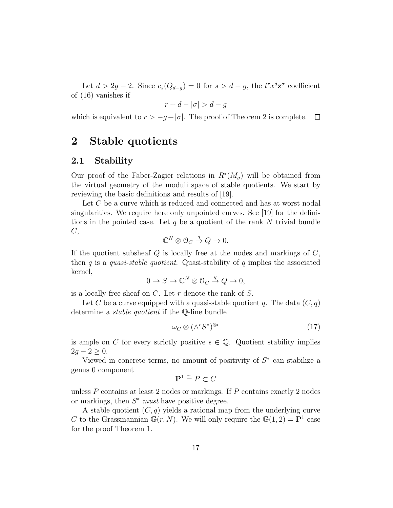Let  $d > 2g - 2$ . Since  $c_s(Q_{d-g}) = 0$  for  $s > d-g$ , the  $t^r x^d \mathbf{z}^{\sigma}$  coefficient of (16) vanishes if

$$
r + d - |\sigma| > d - g
$$

which is equivalent to  $r > -g + |\sigma|$ . The proof of Theorem 2 is complete.  $\Box$ 

# 2 Stable quotients

#### 2.1 Stability

Our proof of the Faber-Zagier relations in  $R^*(M_g)$  will be obtained from the virtual geometry of the moduli space of stable quotients. We start by reviewing the basic definitions and results of [19].

Let C be a curve which is reduced and connected and has at worst nodal singularities. We require here only unpointed curves. See [19] for the definitions in the pointed case. Let  $q$  be a quotient of the rank  $N$  trivial bundle  $C,$ 

$$
\mathbb{C}^N\otimes \mathcal{O}_C \stackrel{q}{\to} Q\to 0.
$$

If the quotient subsheaf  $Q$  is locally free at the nodes and markings of  $C$ , then q is a *quasi-stable quotient*. Quasi-stability of q implies the associated kernel,

$$
0 \to S \to \mathbb{C}^N \otimes \mathcal{O}_C \xrightarrow{q} Q \to 0,
$$

is a locally free sheaf on  $C$ . Let r denote the rank of  $S$ .

Let C be a curve equipped with a quasi-stable quotient q. The data  $(C, q)$ determine a *stable quotient* if the Q-line bundle

$$
\omega_C \otimes (\wedge^r S^*)^{\otimes \epsilon} \tag{17}
$$

is ample on C for every strictly positive  $\epsilon \in \mathbb{Q}$ . Quotient stability implies  $2g - 2 \geq 0$ .

Viewed in concrete terms, no amount of positivity of  $S^*$  can stabilize a genus 0 component

$$
\mathbf{P}^1 \stackrel{\sim}{=} P \subset C
$$

unless  $P$  contains at least 2 nodes or markings. If  $P$  contains exactly 2 nodes or markings, then S <sup>∗</sup> *must* have positive degree.

A stable quotient  $(C, q)$  yields a rational map from the underlying curve C to the Grassmannian  $\mathbb{G}(r, N)$ . We will only require the  $\mathbb{G}(1, 2) = \mathbf{P}^1$  case for the proof Theorem 1.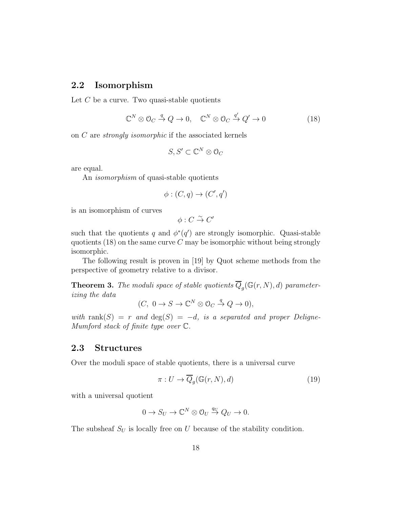### 2.2 Isomorphism

Let  $C$  be a curve. Two quasi-stable quotients

$$
\mathbb{C}^N \otimes \mathcal{O}_C \xrightarrow{q} Q \to 0, \quad \mathbb{C}^N \otimes \mathcal{O}_C \xrightarrow{q'} Q' \to 0 \tag{18}
$$

on C are *strongly isomorphic* if the associated kernels

$$
S, S' \subset \mathbb{C}^N \otimes \mathcal{O}_C
$$

are equal.

An *isomorphism* of quasi-stable quotients

$$
\phi : (C, q) \to (C', q')
$$

is an isomorphism of curves

 $\phi: C \overset{\sim}{\rightarrow} C'$ 

such that the quotients q and  $\phi^*(q')$  are strongly isomorphic. Quasi-stable quotients  $(18)$  on the same curve C may be isomorphic without being strongly isomorphic.

The following result is proven in [19] by Quot scheme methods from the perspective of geometry relative to a divisor.

**Theorem 3.** The moduli space of stable quotients  $Q_g(\mathbb{G}(r,N), d)$  parameter*izing the data*

$$
(C, 0 \to S \to \mathbb{C}^N \otimes \mathcal{O}_C \xrightarrow{q} Q \to 0),
$$

 $with \ \mathrm{rank}(S) = r \ \text{and} \ \mathrm{deg}(S) = -d, \ \text{is a separated and proper Deligne-}$ *Mumford stack of finite type over* C*.*

#### 2.3 Structures

Over the moduli space of stable quotients, there is a universal curve

$$
\pi: U \to \overline{Q}_g(\mathbb{G}(r,N), d)
$$
\n(19)

with a universal quotient

$$
0 \to S_U \to \mathbb{C}^N \otimes \mathcal{O}_U \stackrel{q_U}{\to} Q_U \to 0.
$$

The subsheaf  $S_U$  is locally free on U because of the stability condition.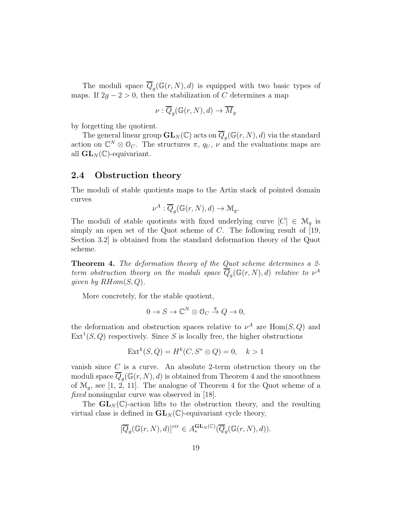The moduli space  $\overline{Q}_g(\mathbb{G}(r,N),d)$  is equipped with two basic types of maps. If  $2g - 2 > 0$ , then the stabilization of C determines a map

$$
\nu: \overline{Q}_g(\mathbb{G}(r,N),d) \to \overline{M}_g
$$

by forgetting the quotient.

The general linear group  $\mathbf{GL}_N(\mathbb{C})$  acts on  $\overline{Q}_g(\mathbb{G}(r,N),d)$  via the standard action on  $\mathbb{C}^N \otimes \mathcal{O}_C$ . The structures  $\pi$ ,  $q_U$ ,  $\nu$  and the evaluations maps are all  $\mathbf{GL}_N(\mathbb{C})$ -equivariant.

#### 2.4 Obstruction theory

The moduli of stable quotients maps to the Artin stack of pointed domain curves

$$
\nu^A: \overline{Q}_g(\mathbb{G}(r,N),d) \to \mathcal{M}_g.
$$

The moduli of stable quotients with fixed underlying curve  $[C] \in \mathcal{M}_q$  is simply an open set of the Quot scheme of  $C$ . The following result of [19, Section 3.2] is obtained from the standard deformation theory of the Quot scheme.

Theorem 4. *The deformation theory of the Quot scheme determines a 2 term obstruction theory on the moduli space*  $\overline{Q}_g(\mathbb{G}(r,N), d)$  *relative to*  $\nu^A$ *given by*  $RHom(S, Q)$ *.* 

More concretely, for the stable quotient,

$$
0 \to S \to \mathbb{C}^N \otimes \mathcal{O}_C \xrightarrow{q} Q \to 0,
$$

the deformation and obstruction spaces relative to  $\nu^A$  are Hom $(S, Q)$  and  $Ext<sup>1</sup>(S, Q)$  respectively. Since S is locally free, the higher obstructions

$$
Extk(S, Q) = Hk(C, S^* \otimes Q) = 0, \quad k > 1
$$

vanish since  $C$  is a curve. An absolute 2-term obstruction theory on the moduli space  $\overline{Q}_g(\mathbb{G}(r,N),d)$  is obtained from Theorem 4 and the smoothness of  $\mathcal{M}_q$ , see [1, 2, 11]. The analogue of Theorem 4 for the Quot scheme of a *fixed* nonsingular curve was observed in [18].

The  $GL_N(\mathbb{C})$ -action lifts to the obstruction theory, and the resulting virtual class is defined in  $GL_N(\mathbb{C})$ -equivariant cycle theory,

$$
[\overline{Q}_g(\mathbb{G}(r,N),d)]^{vir} \in A_*^{\mathbf{GL}_N(\mathbb{C})}(\overline{Q}_g(\mathbb{G}(r,N),d)).
$$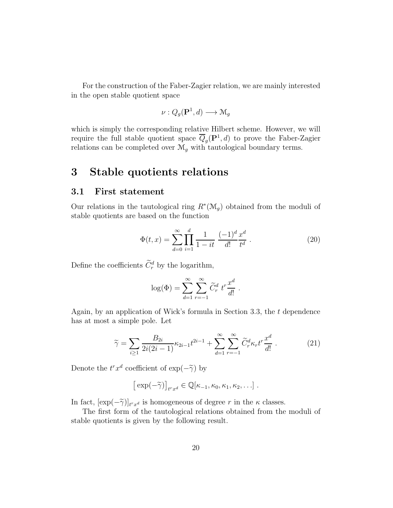For the construction of the Faber-Zagier relation, we are mainly interested in the open stable quotient space

$$
\nu: Q_g(\mathbf{P}^1, d) \longrightarrow \mathcal{M}_g
$$

which is simply the corresponding relative Hilbert scheme. However, we will require the full stable quotient space  $\overline{Q}_g(\mathbf{P}^1, d)$  to prove the Faber-Zagier relations can be completed over  $\mathcal{M}_g$  with tautological boundary terms.

# 3 Stable quotients relations

#### 3.1 First statement

Our relations in the tautological ring  $R^*(\mathcal{M}_g)$  obtained from the moduli of stable quotients are based on the function

$$
\Phi(t,x) = \sum_{d=0}^{\infty} \prod_{i=1}^{d} \frac{1}{1-it} \frac{(-1)^{d}}{d!} \frac{x^{d}}{t^{d}}.
$$
\n(20)

Define the coefficients  $\tilde{C}_r^d$  by the logarithm,

$$
\log(\Phi) = \sum_{d=1}^{\infty} \sum_{r=-1}^{\infty} \widetilde{C}_r^d \ t^r \frac{x^d}{d!} .
$$

Again, by an application of Wick's formula in Section 3.3, the t dependence has at most a simple pole. Let

$$
\widetilde{\gamma} = \sum_{i \ge 1} \frac{B_{2i}}{2i(2i-1)} \kappa_{2i-1} t^{2i-1} + \sum_{d=1}^{\infty} \sum_{r=-1}^{\infty} \widetilde{C}_r^d \kappa_r t^r \frac{x^d}{d!} \,. \tag{21}
$$

Denote the  $t^r x^d$  coefficient of  $\exp(-\tilde{\gamma})$  by

$$
[\exp(-\widetilde{\gamma})]_{t^r x^d} \in \mathbb{Q}[\kappa_{-1}, \kappa_0, \kappa_1, \kappa_2, \ldots].
$$

In fact,  $[\exp(-\tilde{\gamma})]_{tr,x^d}$  is homogeneous of degree r in the  $\kappa$  classes.

The first form of the tautological relations obtained from the moduli of stable quotients is given by the following result.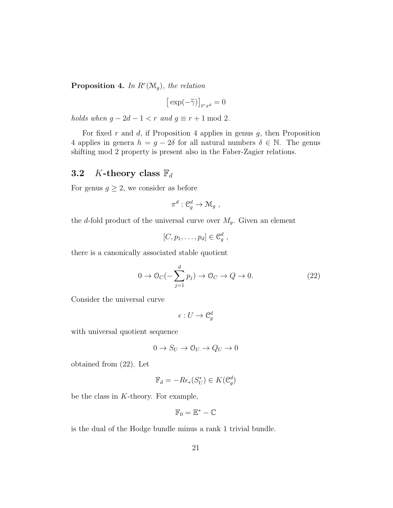Proposition 4. *In* R<sup>r</sup> (Mg)*, the relation*

$$
\big[\exp(-\widetilde{\gamma})\big]_{t^r x^d}=0
$$

*holds when*  $g - 2d - 1 < r$  *and*  $g \equiv r + 1 \mod 2$ *.* 

For fixed r and  $d$ , if Proposition 4 applies in genus  $g$ , then Proposition 4 applies in genera  $h = g - 2\delta$  for all natural numbers  $\delta \in \mathbb{N}$ . The genus shifting mod 2 property is present also in the Faber-Zagier relations.

### **3.2** K-theory class  $\mathbb{F}_d$

For genus  $g \geq 2$ , we consider as before

$$
\pi^d: \mathfrak{C}_g^d \to \mathfrak{M}_g \ ,
$$

the d-fold product of the universal curve over  $M_g$ . Given an element

$$
[C, p_1, \ldots, p_d] \in \mathfrak{C}_g^d,
$$

there is a canonically associated stable quotient

$$
0 \to \mathcal{O}_C(-\sum_{j=1}^d p_j) \to \mathcal{O}_C \to Q \to 0. \tag{22}
$$

Consider the universal curve

$$
\epsilon:U\to \mathfrak C^d_g
$$

with universal quotient sequence

$$
0\to S_U\to \mathbb{O}_U\to Q_U\to 0
$$

obtained from (22). Let

$$
\mathbb{F}_d = -R\epsilon_*(S_U^*) \in K(\mathfrak{C}_g^d)
$$

be the class in K-theory. For example,

$$
\mathbb{F}_0=\mathbb{E}^*-\mathbb{C}
$$

is the dual of the Hodge bundle minus a rank 1 trivial bundle.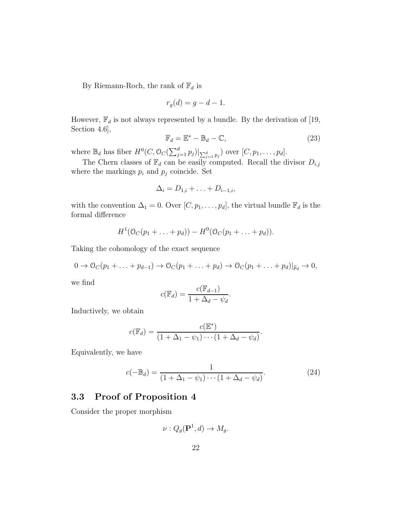By Riemann-Roch, the rank of  $\mathbb{F}_d$  is

$$
r_g(d) = g - d - 1.
$$

However,  $\mathbb{F}_d$  is not always represented by a bundle. By the derivation of [19, Section 4.6],

$$
\mathbb{F}_d = \mathbb{E}^* - \mathbb{B}_d - \mathbb{C},\tag{23}
$$

where  $\mathbb{B}_d$  has fiber  $H^0(C, \mathcal{O}_C(\sum_{j=1}^d p_j)|_{\sum_{j=1}^d p_j})$  over  $[C, p_1, \ldots, p_d]$ .

The Chern classes of  $\mathbb{F}_d$  can be easily computed. Recall the divisor  $D_{i,j}$ where the markings  $p_i$  and  $p_j$  coincide. Set

$$
\Delta_i = D_{1,i} + \ldots + D_{i-1,i},
$$

with the convention  $\Delta_1 = 0$ . Over  $[C, p_1, \ldots, p_d]$ , the virtual bundle  $\mathbb{F}_d$  is the formal difference

$$
H^1(\mathcal{O}_C(p_1+\ldots+p_d))-H^0(\mathcal{O}_C(p_1+\ldots+p_d)).
$$

Taking the cohomology of the exact sequence

$$
0 \to \mathcal{O}_C(p_1 + \ldots + p_{d-1}) \to \mathcal{O}_C(p_1 + \ldots + p_d) \to \mathcal{O}_C(p_1 + \ldots + p_d)|_{\widehat{p}_d} \to 0,
$$

we find

$$
c(\mathbb{F}_d) = \frac{c(\mathbb{F}_{d-1})}{1 + \Delta_d - \psi_d}.
$$

Inductively, we obtain

$$
c(\mathbb{F}_d) = \frac{c(\mathbb{E}^*)}{(1 + \Delta_1 - \psi_1) \cdots (1 + \Delta_d - \psi_d)}.
$$

Equivalently, we have

$$
c(-\mathbb{B}_d) = \frac{1}{(1 + \Delta_1 - \psi_1) \cdots (1 + \Delta_d - \psi_d)}.
$$
 (24)

### 3.3 Proof of Proposition 4

Consider the proper morphism

$$
\nu: Q_g(\mathbf{P}^1, d) \to M_g.
$$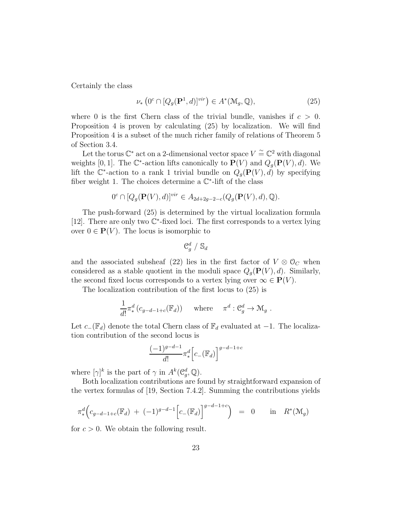Certainly the class

$$
\nu_*\left(0^c \cap [Q_g(\mathbf{P}^1, d)]^{vir}\right) \in A^*(\mathcal{M}_g, \mathbb{Q}),\tag{25}
$$

where 0 is the first Chern class of the trivial bundle, vanishes if  $c > 0$ . Proposition 4 is proven by calculating (25) by localization. We will find Proposition 4 is a subset of the much richer family of relations of Theorem 5 of Section 3.4.

Let the torus  $\mathbb{C}^*$  act on a 2-dimensional vector space  $V \stackrel{\sim}{=} \mathbb{C}^2$  with diagonal weights [0, 1]. The  $\mathbb{C}^*$ -action lifts canonically to  $\mathbf{P}(V)$  and  $Q_g(\mathbf{P}(V), d)$ . We lift the  $\mathbb{C}^*$ -action to a rank 1 trivial bundle on  $Q_g(\mathbf{P}(V), d)$  by specifying fiber weight 1. The choices determine a  $\mathbb{C}^*$ -lift of the class

$$
0^c \cap [Q_g(\mathbf{P}(V), d)]^{vir} \in A_{2d+2g-2-c}(Q_g(\mathbf{P}(V), d), \mathbb{Q}).
$$

The push-forward (25) is determined by the virtual localization formula [12]. There are only two ℂ<sup>\*</sup>-fixed loci. The first corresponds to a vertex lying over  $0 \in \mathbf{P}(V)$ . The locus is isomorphic to

$$
\mathfrak C_g^d\ /\ \mathbb S_d
$$

and the associated subsheaf (22) lies in the first factor of  $V \otimes \mathcal{O}_C$  when considered as a stable quotient in the moduli space  $Q_q(\mathbf{P}(V), d)$ . Similarly, the second fixed locus corresponds to a vertex lying over  $\infty \in \mathbf{P}(V)$ .

The localization contribution of the first locus to (25) is

$$
\frac{1}{d!} \pi^d_* (c_{g-d-1+c}(\mathbb{F}_d)) \quad \text{where} \quad \pi^d : \mathcal{C}_g^d \to \mathcal{M}_g.
$$

Let  $c_-(\mathbb{F}_d)$  denote the total Chern class of  $\mathbb{F}_d$  evaluated at  $-1$ . The localization contribution of the second locus is

$$
\frac{(-1)^{g-d-1}}{d!} \pi_*^d \left[ c_-(\mathbb{F}_d) \right]^{g-d-1+c}
$$

where  $[\gamma]^k$  is the part of  $\gamma$  in  $A^k(\mathcal{C}_g^d,\mathbb{Q})$ .

Both localization contributions are found by straightforward expansion of the vertex formulas of [19, Section 7.4.2]. Summing the contributions yields

$$
\pi_*^d \Big( c_{g-d-1+c}(\mathbb{F}_d) + (-1)^{g-d-1} \Big[ c_-(\mathbb{F}_d) \Big]^{g-d-1+c} \Big) = 0 \quad \text{in} \quad R^*(\mathcal{M}_g)
$$

for  $c > 0$ . We obtain the following result.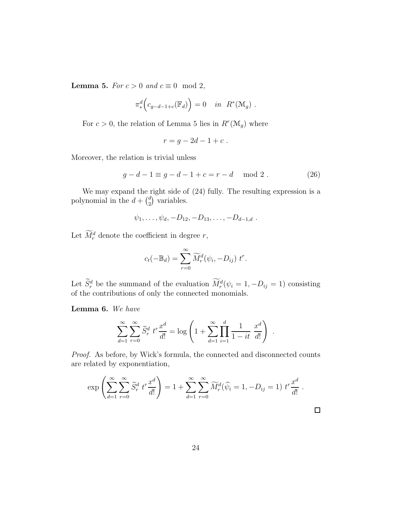**Lemma 5.** *For*  $c > 0$  *and*  $c \equiv 0 \mod 2$ ,

$$
\pi_*^d \Big( c_{g-d-1+c}(\mathbb{F}_d) \Big) = 0 \quad in \ \ R^*(\mathcal{M}_g) \ .
$$

For  $c > 0$ , the relation of Lemma 5 lies in  $R^r(\mathcal{M}_g)$  where

$$
r = g - 2d - 1 + c.
$$

Moreover, the relation is trivial unless

$$
g - d - 1 \equiv g - d - 1 + c = r - d \mod 2 . \tag{26}
$$

We may expand the right side of (24) fully. The resulting expression is a polynomial in the  $d + \binom{d}{2}$  $\binom{d}{2}$  variables.

$$
\psi_1, \ldots, \psi_d, -D_{12}, -D_{13}, \ldots, -D_{d-1,d}
$$
.

Let  $M_r^d$  denote the coefficient in degree r,

$$
c_t(-\mathbb{B}_d) = \sum_{r=0}^{\infty} \widetilde{M}_r^d(\psi_i, -D_{ij}) t^r.
$$

Let  $S_r^d$  be the summand of the evaluation  $M_r^d(\psi_i = 1, -D_{ij} = 1)$  consisting of the contributions of only the connected monomials.

Lemma 6. *We have*

$$
\sum_{d=1}^{\infty} \sum_{r=0}^{\infty} \widetilde{S}_r^d \ t^r \frac{x^d}{d!} = \log \left( 1 + \sum_{d=1}^{\infty} \prod_{i=1}^d \frac{1}{1 - it} \ \frac{x^d}{d!} \right)
$$

.

*Proof.* As before, by Wick's formula, the connected and disconnected counts are related by exponentiation,

$$
\exp\left(\sum_{d=1}^{\infty}\sum_{r=0}^{\infty}\tilde{S}_{r}^{d} t^{r} \frac{x^{d}}{d!}\right) = 1 + \sum_{d=1}^{\infty}\sum_{r=0}^{\infty}\widetilde{M}_{r}^{d}(\widehat{\psi}_{i} = 1, -D_{ij} = 1) t^{r} \frac{x^{d}}{d!}.
$$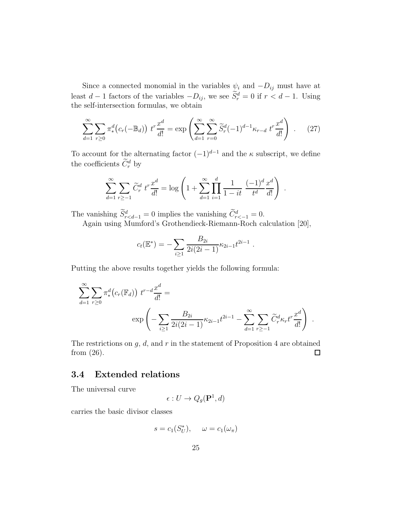Since a connected monomial in the variables  $\psi_i$  and  $-D_{ij}$  must have at least  $d-1$  factors of the variables  $-D_{ij}$ , we see  $\tilde{S}_r^d = 0$  if  $r < d-1$ . Using the self-intersection formulas, we obtain

$$
\sum_{d=1}^{\infty} \sum_{r\geq 0} \pi_*^d \big(c_r(-\mathbb{B}_d)\big) \ t^r \frac{x^d}{d!} = \exp\left(\sum_{d=1}^{\infty} \sum_{r=0}^{\infty} \widetilde{S}_r^d (-1)^{d-1} \kappa_{r-d} \ t^r \frac{x^d}{d!}\right) \ . \tag{27}
$$

To account for the alternating factor  $(-1)^{d-1}$  and the  $\kappa$  subscript, we define the coefficients  $\ddot{C}_r^d$  by

$$
\sum_{d=1}^{\infty} \sum_{r \ge -1} \widetilde{C}_r^d \ t^r \frac{x^d}{d!} = \log \left( 1 + \sum_{d=1}^{\infty} \prod_{i=1}^d \frac{1}{1 - it} \ \frac{(-1)^d}{t^d} \frac{x^d}{d!} \right)
$$

.

.

The vanishing  $S_{r implies the vanishing  $C_{r<-1}^d = 0$ .$ 

Again using Mumford's Grothendieck-Riemann-Roch calculation [20],

$$
c_t(\mathbb{E}^*) = -\sum_{i \ge 1} \frac{B_{2i}}{2i(2i-1)} \kappa_{2i-1} t^{2i-1}
$$

Putting the above results together yields the following formula:

$$
\sum_{d=1}^{\infty} \sum_{r\geq 0} \pi_*^d (c_r(\mathbb{F}_d)) t^{r-d} \frac{x^d}{d!} =
$$
  
 
$$
\exp \left(-\sum_{i\geq 1} \frac{B_{2i}}{2i(2i-1)} \kappa_{2i-1} t^{2i-1} - \sum_{d=1}^{\infty} \sum_{r\geq -1} \widetilde{C}_r^d \kappa_r t^r \frac{x^d}{d!} \right).
$$

The restrictions on  $g, d$ , and  $r$  in the statement of Proposition 4 are obtained from (26).  $\Box$ 

### 3.4 Extended relations

The universal curve

$$
\epsilon: U \to Q_g(\mathbf{P}^1, d)
$$

carries the basic divisor classes

$$
s = c_1(S_U^*), \quad \omega = c_1(\omega_\pi)
$$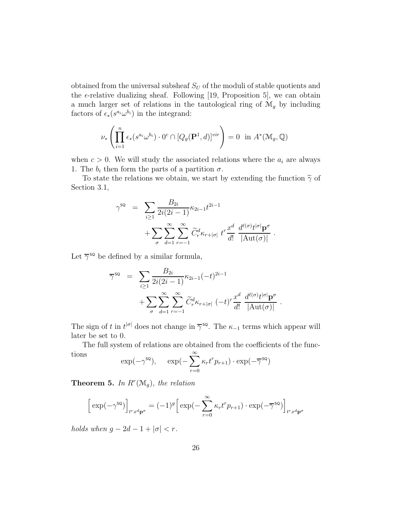obtained from the universal subsheaf  $S_U$  of the moduli of stable quotients and the  $\epsilon$ -relative dualizing sheaf. Following [19, Proposition 5], we can obtain a much larger set of relations in the tautological ring of  $\mathcal{M}_g$  by including factors of  $\epsilon_*(s^{a_i}\omega^{b_i})$  in the integrand:

$$
\nu_*\left(\prod_{i=1}^n \epsilon_*(s^{a_i} \omega^{b_i}) \cdot 0^c \cap [Q_g(\mathbf{P}^1, d)]^{vir}\right) = 0 \text{ in } A^*(\mathcal{M}_g, \mathbb{Q})
$$

when  $c > 0$ . We will study the associated relations where the  $a_i$  are always 1. The  $b_i$  then form the parts of a partition  $\sigma$ .

To state the relations we obtain, we start by extending the function  $\tilde{\gamma}$  of Section 3.1,

$$
\gamma^{\mathsf{SQ}} = \sum_{i \geq 1} \frac{B_{2i}}{2i(2i-1)} \kappa_{2i-1} t^{2i-1} + \sum_{\sigma} \sum_{d=1}^{\infty} \sum_{r=-1}^{\infty} \widetilde{C}_{r}^{d} \kappa_{r+|\sigma|} t^{r} \frac{x^{d}}{d!} \frac{d^{\ell(\sigma)} t^{|\sigma|} \mathbf{p}^{\sigma}}{|\mathrm{Aut}(\sigma)|}.
$$

Let  $\overline{\gamma}^{\text{sq}}$  be defined by a similar formula,

$$
\overline{\gamma}^{\mathsf{SQ}} = \sum_{i \geq 1} \frac{B_{2i}}{2i(2i-1)} \kappa_{2i-1}(-t)^{2i-1} + \sum_{\sigma} \sum_{d=1}^{\infty} \sum_{r=-1}^{\infty} \widetilde{C}_{r}^{d} \kappa_{r+|\sigma|} (-t)^{r} \frac{x^{d}}{d!} \frac{d^{\ell(\sigma)} t^{|\sigma|} \mathbf{p}^{\sigma}}{|\mathrm{Aut}(\sigma)|}.
$$

The sign of t in  $t^{|\sigma|}$  does not change in  $\overline{\gamma}^{s_{\mathcal{Q}}}$ . The  $\kappa_{-1}$  terms which appear will later be set to 0.

The full system of relations are obtained from the coefficients of the functions  $\infty$ 

$$
\exp(-\gamma^{\text{sq}}), \quad \exp(-\sum_{r=0} \kappa_r t^r p_{r+1}) \cdot \exp(-\overline{\gamma}^{\text{sq}})
$$

**Theorem 5.** In  $R^r(\mathcal{M}_g)$ , the relation

$$
\left[\exp(-\gamma^{\text{SQ}})\right]_{t^r x^d \mathbf{p}^\sigma} = (-1)^g \left[\exp(-\sum_{r=0}^\infty \kappa_r t^r p_{r+1}) \cdot \exp(-\overline{\gamma}^{\text{SQ}})\right]_{t^r x^d \mathbf{p}^\sigma}
$$

*holds when*  $g - 2d - 1 + |\sigma| < r$ *.*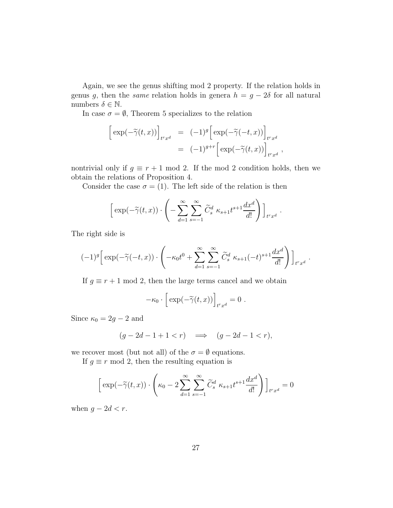Again, we see the genus shifting mod 2 property. If the relation holds in genus g, then the *same* relation holds in genera  $h = g - 2\delta$  for all natural numbers  $\delta \in \mathbb{N}$ .

In case  $\sigma = \emptyset$ , Theorem 5 specializes to the relation

$$
\begin{aligned} \left[ \exp(-\widetilde{\gamma}(t,x)) \right]_{t^r x^d} &= (-1)^g \left[ \exp(-\widetilde{\gamma}(-t,x)) \right]_{t^r x^d} \\ &= (-1)^{g+r} \left[ \exp(-\widetilde{\gamma}(t,x)) \right]_{t^r x^d}, \end{aligned}
$$

nontrivial only if  $g \equiv r + 1 \mod 2$ . If the mod 2 condition holds, then we obtain the relations of Proposition 4.

Consider the case  $\sigma = (1)$ . The left side of the relation is then

$$
\[\exp(-\widetilde{\gamma}(t,x))\cdot \left(-\sum_{d=1}^{\infty}\sum_{s=-1}^{\infty}\widetilde{C}_{s}^{d}\ \kappa_{s+1}t^{s+1}\frac{dx^{d}}{d!}\right)\Big]_{t^{r}x^{d}}.
$$

The right side is

$$
(-1)^{g} \Big[ \exp(-\widetilde{\gamma}(-t,x)) \cdot \left( -\kappa_0 t^0 + \sum_{d=1}^{\infty} \sum_{s=-1}^{\infty} \widetilde{C}_s^d \ \kappa_{s+1}(-t)^{s+1} \frac{dx^d}{d!} \right) \Big]_{t^r x^d} \ .
$$

If  $g \equiv r + 1 \mod 2$ , then the large terms cancel and we obtain

$$
-\kappa_0 \cdot \left[ \exp(-\widetilde{\gamma}(t,x)) \right]_{t^r x^d} = 0.
$$

Since  $\kappa_0 = 2g - 2$  and

$$
(g - 2d - 1 + 1 < r) \quad \Longrightarrow \quad (g - 2d - 1 < r),
$$

we recover most (but not all) of the  $\sigma = \emptyset$  equations.

If  $g \equiv r \mod 2$ , then the resulting equation is

$$
\left[\exp(-\widetilde{\gamma}(t,x))\cdot \left(\kappa_0 - 2\sum_{d=1}^{\infty}\sum_{s=-1}^{\infty}\widetilde{C}_s^d \ \kappa_{s+1}t^{s+1}\frac{dx^d}{d!}\right)\right]_{t^r x^d} = 0
$$

when  $g - 2d < r$ .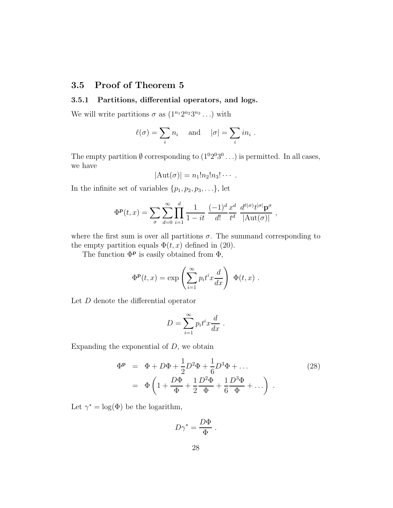### 3.5 Proof of Theorem 5

#### 3.5.1 Partitions, differential operators, and logs.

We will write partitions  $\sigma$  as  $(1^{n_1}2^{n_2}3^{n_3}\ldots)$  with

$$
\ell(\sigma) = \sum_i n_i
$$
 and  $|\sigma| = \sum_i i n_i$ .

The empty partition  $\emptyset$  corresponding to  $(1^02^03^0 \dots)$  is permitted. In all cases, we have

$$
|\mathrm{Aut}(\sigma)|=n_1!n_2!n_3!\cdots.
$$

In the infinite set of variables  $\{p_1, p_2, p_3, \ldots\}$ , let

$$
\Phi^{\mathbf{p}}(t,x) = \sum_{\sigma} \sum_{d=0}^{\infty} \prod_{i=1}^{d} \frac{1}{1-it} \frac{(-1)^{d}}{d!} \frac{x^{d}}{t^{d}} \frac{d^{\ell(\sigma)}t^{|\sigma|} \mathbf{p}^{\sigma}}{|\mathrm{Aut}(\sigma)|},
$$

where the first sum is over all partitions  $\sigma$ . The summand corresponding to the empty partition equals  $\Phi(t, x)$  defined in (20).

The function  $\Phi$ <sup>p</sup> is easily obtained from  $\Phi$ ,

$$
\Phi^{\mathbf{p}}(t,x) = \exp\left(\sum_{i=1}^{\infty} p_i t^i x \frac{d}{dx}\right) \Phi(t,x).
$$

Let D denote the differential operator

$$
D = \sum_{i=1}^{\infty} p_i t^i x \frac{d}{dx} .
$$

Expanding the exponential of  $D$ , we obtain

$$
\Phi^{\mathbf{p}} = \Phi + D\Phi + \frac{1}{2}D^2\Phi + \frac{1}{6}D^3\Phi + \dots
$$
\n
$$
= \Phi \left( 1 + \frac{D\Phi}{\Phi} + \frac{1}{2} \frac{D^2\Phi}{\Phi} + \frac{1}{6} \frac{D^3\Phi}{\Phi} + \dots \right) .
$$
\n(28)

Let  $\gamma^* = \log(\Phi)$  be the logarithm,

$$
D\gamma^* = \frac{D\Phi}{\Phi}.
$$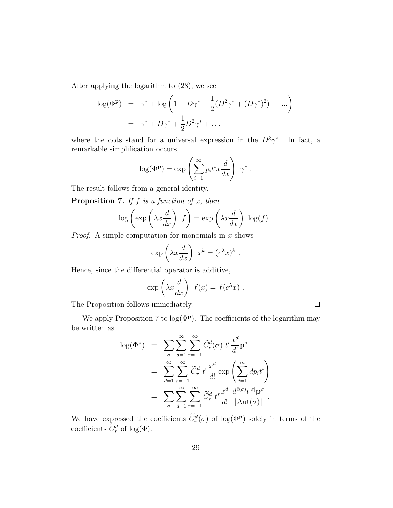After applying the logarithm to (28), we see

$$
\log(\Phi^{\mathbf{p}}) = \gamma^* + \log\left(1 + D\gamma^* + \frac{1}{2}(D^2\gamma^* + (D\gamma^*)^2) + \dots\right)
$$
  
=  $\gamma^* + D\gamma^* + \frac{1}{2}D^2\gamma^* + \dots$ 

where the dots stand for a universal expression in the  $D^k \gamma^*$ . In fact, a remarkable simplification occurs,

$$
\log(\Phi^{\mathbf{p}}) = \exp\left(\sum_{i=1}^{\infty} p_i t^i x \frac{d}{dx}\right) \gamma^*.
$$

The result follows from a general identity.

Proposition 7. *If* f *is a function of* x*, then*

$$
\log\left(\exp\left(\lambda x \frac{d}{dx}\right) f\right) = \exp\left(\lambda x \frac{d}{dx}\right) \log(f).
$$

*Proof.* A simple computation for monomials in x shows

$$
\exp\left(\lambda x \frac{d}{dx}\right) x^k = (e^{\lambda} x)^k.
$$

Hence, since the differential operator is additive,

$$
\exp\left(\lambda x \frac{d}{dx}\right) f(x) = f(e^{\lambda} x) .
$$

The Proposition follows immediately.

We apply Proposition 7 to  $log(\Phi^{\mathbf{p}})$ . The coefficients of the logarithm may be written as

$$
\log(\Phi^{\mathbf{p}}) = \sum_{\sigma} \sum_{d=1}^{\infty} \sum_{r=-1}^{\infty} \widetilde{C}_{r}^{d}(\sigma) t^{r} \frac{x^{d}}{d!} \mathbf{p}^{\sigma}
$$
  
\n
$$
= \sum_{d=1}^{\infty} \sum_{r=-1}^{\infty} \widetilde{C}_{r}^{d} t^{r} \frac{x^{d}}{d!} \exp\left(\sum_{i=1}^{\infty} dp_{i} t^{i}\right)
$$
  
\n
$$
= \sum_{\sigma} \sum_{d=1}^{\infty} \sum_{r=-1}^{\infty} \widetilde{C}_{r}^{d} t^{r} \frac{x^{d}}{d!} \frac{d^{\ell(\sigma)} t^{|\sigma|} \mathbf{p}^{\sigma}}{|\mathrm{Aut}(\sigma)|}.
$$

We have expressed the coefficients  $\tilde{C}_r^d(\sigma)$  of log( $\Phi$ **P**) solely in terms of the coefficients  $C_r^d$  of  $log(\Phi)$ .

 $\Box$ 

.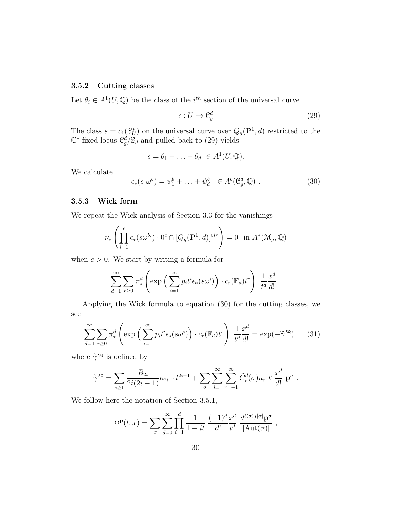#### 3.5.2 Cutting classes

Let  $\theta_i \in A^1(U, \mathbb{Q})$  be the class of the *i*<sup>th</sup> section of the universal curve

$$
\epsilon: U \to \mathfrak{C}_g^d \tag{29}
$$

The class  $s = c_1(S_U^*)$  on the universal curve over  $Q_g(\mathbf{P}^1, d)$  restricted to the  $\mathbb{C}^*$ -fixed locus  $\mathcal{C}_g^d/\mathcal{S}_d$  and pulled-back to (29) yields

$$
s = \theta_1 + \ldots + \theta_d \ \in A^1(U, \mathbb{Q}).
$$

We calculate

$$
\epsilon_*(s\ \omega^b) = \psi_1^b + \ldots + \psi_d^b \ \in A^b(\mathfrak{C}_g^d, \mathbb{Q}) \ . \tag{30}
$$

#### 3.5.3 Wick form

We repeat the Wick analysis of Section 3.3 for the vanishings

$$
\nu_*\left(\prod_{i=1}^{\ell} \epsilon_*(s\omega^{b_i}) \cdot 0^c \cap [Q_g(\mathbf{P}^1, d)]^{vir}\right) = 0 \text{ in } A^*(\mathcal{M}_g, \mathbb{Q})
$$

when  $c > 0$ . We start by writing a formula for

$$
\sum_{d=1}^{\infty} \sum_{r\geq 0} \pi_{*}^{d} \left( \exp\left(\sum_{i=1}^{\infty} p_{i} t^{i} \epsilon_{*} (\mathbf{s} \omega^{i})\right) \cdot c_{r}(\mathbb{F}_{d}) t^{r} \right) \frac{1}{t^{d}} \frac{x^{d}}{d!}.
$$

Applying the Wick formula to equation (30) for the cutting classes, we see

$$
\sum_{d=1}^{\infty} \sum_{r\geq 0} \pi_*^d \left( \exp\left( \sum_{i=1}^{\infty} p_i t^i \epsilon_*(s\omega^i) \right) \cdot c_r(\mathbb{F}_d) t^r \right) \frac{1}{t^d} \frac{x^d}{d!} = \exp(-\widetilde{\gamma}^{s\mathsf{Q}}) \tag{31}
$$

where  $\tilde{\gamma}^{\text{sq}}$  is defined by

$$
\widetilde{\gamma}^{\mathsf{sq}} = \sum_{i\geq 1} \frac{B_{2i}}{2i(2i-1)} \kappa_{2i-1} t^{2i-1} + \sum_{\sigma} \sum_{d=1}^{\infty} \sum_{r=-1}^{\infty} \widetilde{C}^d_r(\sigma) \kappa_r \ t^r \frac{x^d}{d!} \ \mathbf{p}^{\sigma}.
$$

We follow here the notation of Section 3.5.1,

$$
\Phi^{\mathbf{p}}(t,x) = \sum_{\sigma} \sum_{d=0}^{\infty} \prod_{i=1}^{d} \frac{1}{1-it} \frac{(-1)^{d}}{d!} \frac{x^{d}}{t^{d}} \frac{d^{\ell(\sigma)}t^{|\sigma|} \mathbf{p}^{\sigma}}{|\mathrm{Aut}(\sigma)|},
$$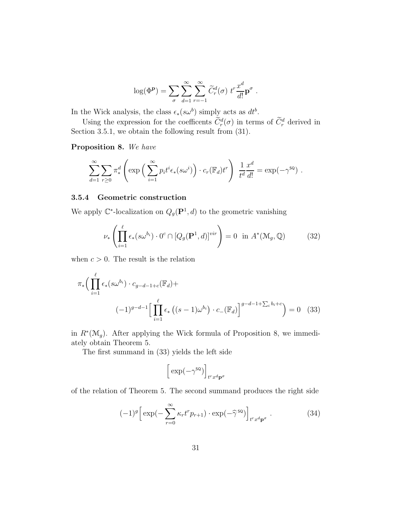$$
\log(\Phi^{\mathbf{p}}) = \sum_{\sigma} \sum_{d=1}^{\infty} \sum_{r=-1}^{\infty} \widetilde{C}_{r}^{d}(\sigma) t^{r} \frac{x^{d}}{d!} \mathbf{p}^{\sigma}.
$$

In the Wick analysis, the class  $\epsilon_*(s\omega^b)$  simply acts as  $dt^b$ .

Using the expression for the coefficents  $C_r^d(\sigma)$  in terms of  $C_r^d$  derived in Section 3.5.1, we obtain the following result from (31).

Proposition 8. *We have*

$$
\sum_{d=1}^{\infty} \sum_{r\geq 0} \pi_*^d \left( \exp\left( \sum_{i=1}^{\infty} p_i t^i \epsilon_*(s\omega^i) \right) \cdot c_r(\mathbb{F}_d) t^r \right) \frac{1}{t^d} \frac{x^d}{d!} = \exp(-\gamma^{\mathsf{SQ}}).
$$

#### 3.5.4 Geometric construction

We apply  $\mathbb{C}^*$ -localization on  $Q_g(\mathbf{P}^1, d)$  to the geometric vanishing

$$
\nu_* \left( \prod_{i=1}^{\ell} \epsilon_* (s \omega^{b_i}) \cdot 0^c \cap [Q_g(\mathbf{P}^1, d)]^{vir} \right) = 0 \text{ in } A^*(\mathcal{M}_g, \mathbb{Q}) \tag{32}
$$

when  $c > 0$ . The result is the relation

$$
\pi_* \Big( \prod_{i=1}^{\ell} \epsilon_* (s \omega^{b_i}) \cdot c_{g-d-1+c}(\mathbb{F}_d) +
$$
  

$$
(-1)^{g-d-1} \Big[ \prod_{i=1}^{\ell} \epsilon_* \left( (s-1) \omega^{b_i} \right) \cdot c_- (\mathbb{F}_d) \Big]^{g-d-1+\sum_i b_i+c} \Big) = 0 \quad (33)
$$

in  $R^*(\mathcal{M}_g)$ . After applying the Wick formula of Proposition 8, we immediately obtain Theorem 5.

The first summand in (33) yields the left side

$$
\Big[\exp(-\gamma^{\rm SQ})\Big]_{t^r x^d {\bf p}^\sigma}
$$

of the relation of Theorem 5. The second summand produces the right side

$$
(-1)^{g} \left[ \exp\left(-\sum_{r=0}^{\infty} \kappa_r t^r p_{r+1}\right) \cdot \exp\left(-\hat{\gamma}^{\text{sq}}\right) \right]_{t^r x^d \mathbf{p}^{\sigma}} . \tag{34}
$$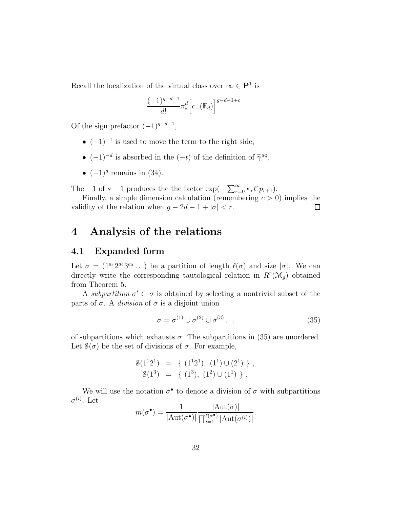Recall the localization of the virtual class over  $\infty \in \mathbf{P}^1$  is

$$
\frac{(-1)^{g-d-1}}{d!} \pi^d_* \left[ c_-(\mathbb{F}_d) \right]^{g-d-1+c}
$$

Of the sign prefactor  $(-1)^{g-d-1}$ ,

- $(-1)^{-1}$  is used to move the term to the right side,
- $(-1)^{-d}$  is absorbed in the  $(-t)$  of the definition of  $\hat{\gamma}^{\text{sq}}$ ,
- $(-1)^g$  remains in  $(34)$ .

The  $-1$  of  $s-1$  produces the the factor  $\exp(-\sum_{r=0}^{\infty} \kappa_r t^r p_{r+1}).$ 

Finally, a simple dimension calculation (remembering  $c > 0$ ) implies the validity of the relation when  $g - 2d - 1 + |\sigma| < r$ .  $\Box$ 

# 4 Analysis of the relations

### 4.1 Expanded form

Let  $\sigma = (1^{a_1} 2^{a_2} 3^{a_3} ...)$  be a partition of length  $\ell(\sigma)$  and size  $|\sigma|$ . We can directly write the corresponding tautological relation in  $R^r(\mathcal{M}_g)$  obtained from Theorem 5.

A *subpartition*  $\sigma' \subset \sigma$  is obtained by selecting a nontrivial subset of the parts of  $\sigma$ . A *division* of  $\sigma$  is a disjoint union

$$
\sigma = \sigma^{(1)} \cup \sigma^{(2)} \cup \sigma^{(3)} \dots \tag{35}
$$

.

of subpartitions which exhausts  $\sigma$ . The subpartitions in (35) are unordered. Let  $\mathcal{S}(\sigma)$  be the set of divisions of  $\sigma$ . For example,

$$
8(1121) = { (1121), (11) \cup (21) },\n8(13) = { (13), (12) \cup (11) }.
$$

We will use the notation  $\sigma^{\bullet}$  to denote a division of  $\sigma$  with subpartitions  $\sigma^{(i)}$ . Let

$$
m(\sigma^{\bullet}) = \frac{1}{|\text{Aut}(\sigma^{\bullet})|} \frac{|\text{Aut}(\sigma)|}{\prod_{i=1}^{\ell(\sigma^{\bullet})} |\text{Aut}(\sigma^{(i)})|}.
$$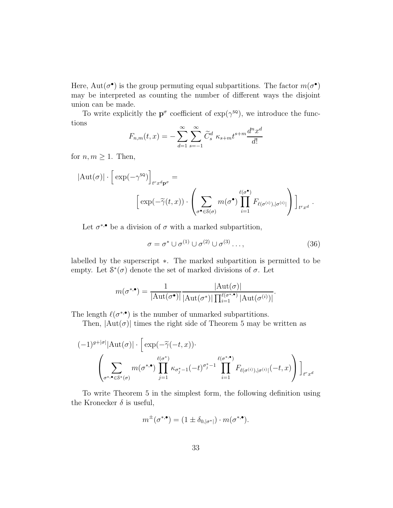Here,  $Aut(\sigma^{\bullet})$  is the group permuting equal subpartitions. The factor  $m(\sigma^{\bullet})$ may be interpreted as counting the number of different ways the disjoint union can be made.

To write explicitly the  $p^{\sigma}$  coefficient of exp( $\gamma^{sq}$ ), we introduce the functions

$$
F_{n,m}(t,x) = -\sum_{d=1}^{\infty} \sum_{s=-1}^{\infty} \widetilde{C}_s^d \kappa_{s+m} t^{s+m} \frac{d^n x^d}{d!}
$$

for  $n, m \geq 1$ . Then,

$$
|\text{Aut}(\sigma)| \cdot \left[ \exp(-\gamma^{\text{SQ}}) \right]_{t^r x^d \mathbf{p}^{\sigma}} =
$$

$$
\left[ \exp(-\widetilde{\gamma}(t,x)) \cdot \left( \sum_{\sigma^{\bullet} \in \mathcal{S}(\sigma)} m(\sigma^{\bullet}) \prod_{i=1}^{\ell(\sigma^{\bullet})} F_{\ell(\sigma^{(i)}), |\sigma^{(i)}|} \right) \right]_{t^r x^d}.
$$

Let  $\sigma^{*,\bullet}$  be a division of  $\sigma$  with a marked subpartition,

$$
\sigma = \sigma^* \cup \sigma^{(1)} \cup \sigma^{(2)} \cup \sigma^{(3)} \dots,
$$
\n(36)

labelled by the superscript ∗. The marked subpartition is permitted to be empty. Let  $\mathcal{S}^*(\sigma)$  denote the set of marked divisions of  $\sigma$ . Let

$$
m(\sigma^{*,\bullet}) = \frac{1}{|\text{Aut}(\sigma^{\bullet})|} \frac{|\text{Aut}(\sigma)|}{|\text{Aut}(\sigma^*)| \prod_{i=1}^{\ell(\sigma^{*,\bullet})} |\text{Aut}(\sigma^{(i)})|}.
$$

The length  $\ell(\sigma^{*,\bullet})$  is the number of unmarked subpartitions.

Then,  $|\text{Aut}(\sigma)|$  times the right side of Theorem 5 may be written as

$$
(-1)^{g+|\sigma|}|\text{Aut}(\sigma)| \cdot \left[\exp(-\widetilde{\gamma}(-t,x))\cdot \left(\sum_{\sigma^*, \bullet \subset \mathcal{S}^*(\sigma)} m(\sigma^{*,\bullet}) \prod_{j=1}^{\ell(\sigma^*)} \kappa_{\sigma^*_j-1}(-t)^{\sigma^*_j-1} \prod_{i=1}^{\ell(\sigma^{*,\bullet})} F_{\ell(\sigma^{(i)}), |\sigma^{(i)}|}(-t,x)\right) \right]_{t^r x^d}
$$

To write Theorem 5 in the simplest form, the following definition using the Kronecker  $\delta$  is useful,

$$
m^{\pm}(\sigma^{*,\bullet}) = (1 \pm \delta_{0,|\sigma^*|}) \cdot m(\sigma^{*,\bullet}).
$$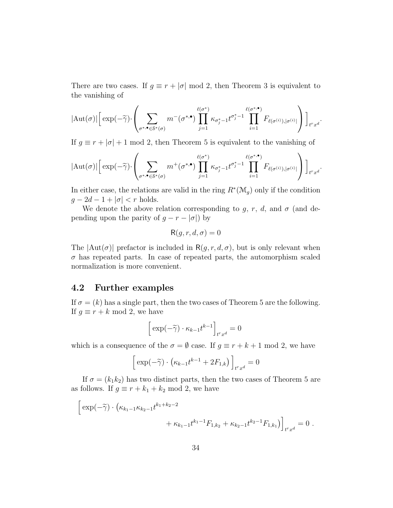There are two cases. If  $g \equiv r + |\sigma| \mod 2$ , then Theorem 3 is equivalent to the vanishing of

$$
|\mathrm{Aut}(\sigma)| \Big[ \exp(-\widetilde{\gamma}) \cdot \left( \sum_{\sigma^* \cdot \bullet \in \mathbb{S}^*(\sigma)} m^-(\sigma^{*, \bullet}) \prod_{j=1}^{\ell(\sigma^*)} \kappa_{\sigma^*_j - 1} t^{\sigma^*_j - 1} \prod_{i=1}^{\ell(\sigma^{*, \bullet})} F_{\ell(\sigma^{(i)}), |\sigma^{(i)}|} \right) \Big]_{t^r x^d}.
$$

If  $g \equiv r + |\sigma| + 1 \mod 2$ , then Theorem 5 is equivalent to the vanishing of

$$
|\mathrm{Aut}(\sigma)| \Big[ \exp(-\widetilde{\gamma}) \cdot \left( \sum_{\sigma^*, \bullet \in \mathcal{S}^*(\sigma)} m^+(\sigma^{*, \bullet}) \prod_{j=1}^{\ell(\sigma^*)} \kappa_{\sigma^*_j - 1} t^{\sigma^*_j - 1} \prod_{i=1}^{\ell(\sigma^{*, \bullet})} F_{\ell(\sigma^{(i)}), |\sigma^{(i)}|} \right) \Big]_{t^r x^d}.
$$

In either case, the relations are valid in the ring  $R^*(\mathcal{M}_g)$  only if the condition  $g - 2d - 1 + |\sigma| < r$  holds.

We denote the above relation corresponding to g, r, d, and  $\sigma$  (and depending upon the parity of  $g - r - |\sigma|$  by

$$
R(g, r, d, \sigma) = 0
$$

The  $|\text{Aut}(\sigma)|$  prefactor is included in  $R(q, r, d, \sigma)$ , but is only relevant when  $\sigma$  has repeated parts. In case of repeated parts, the automorphism scaled normalization is more convenient.

### 4.2 Further examples

If  $\sigma = (k)$  has a single part, then the two cases of Theorem 5 are the following. If  $q \equiv r + k \mod 2$ , we have

$$
\Big[\exp(-\widetilde{\gamma})\cdot\kappa_{k-1}t^{k-1}\Big]_{t^r x^d}=0
$$

which is a consequence of the  $\sigma = \emptyset$  case. If  $g \equiv r + k + 1 \mod 2$ , we have

$$
\left[\exp(-\widetilde{\gamma})\cdot\left(\kappa_{k-1}t^{k-1}+2F_{1,k}\right)\right]_{t^r x^d}=0
$$

If  $\sigma = (k_1 k_2)$  has two distinct parts, then the two cases of Theorem 5 are as follows. If  $g \equiv r + k_1 + k_2 \mod 2$ , we have

$$
\left[ \exp(-\widetilde{\gamma}) \cdot \left( \kappa_{k_1-1} \kappa_{k_2-1} t^{k_1+k_2-2} + \kappa_{k_1-1} t^{k_1-1} F_{1,k_2} + \kappa_{k_2-1} t^{k_2-1} F_{1,k_1} \right) \right]_{t^r x^d} = 0.
$$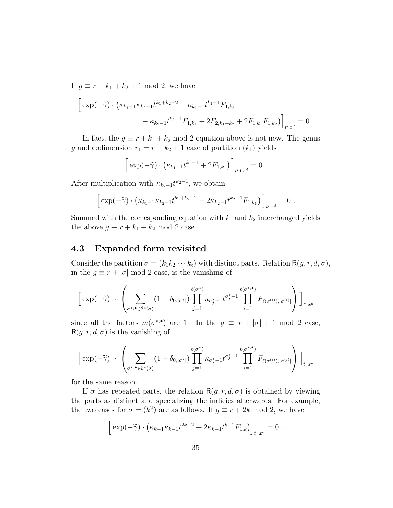If  $g \equiv r + k_1 + k_2 + 1 \mod 2$ , we have

$$
\[ \exp(-\widetilde{\gamma}) \cdot \left( \kappa_{k_1-1} \kappa_{k_2-1} t^{k_1+k_2-2} + \kappa_{k_1-1} t^{k_1-1} F_{1,k_2} + \kappa_{k_2-1} t^{k_2-1} F_{1,k_1} + 2 F_{2,k_1+k_2} + 2 F_{1,k_1} F_{1,k_2} \right) \]_{t^r x^d} = 0 \; .
$$

In fact, the  $g \equiv r + k_1 + k_2$  mod 2 equation above is not new. The genus g and codimension  $r_1 = r - k_2 + 1$  case of partition  $(k_1)$  yields

$$
\[ \exp(-\widetilde{\gamma}) \cdot (\kappa_{k_1-1} t^{k_1-1} + 2F_{1,k_1}) \]_{t^{r_1}x^d} = 0 \; .
$$

After multiplication with  $\kappa_{k_2-1} t^{k_2-1}$ , we obtain

$$
\[ \exp(-\widetilde{\gamma}) \cdot \left( \kappa_{k_1-1} \kappa_{k_2-1} t^{k_1+k_2-2} + 2 \kappa_{k_2-1} t^{k_2-1} F_{1,k_1} \right) \]_{t^r x^d} = 0 \; .
$$

Summed with the corresponding equation with  $k_1$  and  $k_2$  interchanged yields the above  $g \equiv r + k_1 + k_2 \mod 2$  case.

### 4.3 Expanded form revisited

Consider the partition  $\sigma = (k_1 k_2 \cdots k_\ell)$  with distinct parts. Relation  $R(g, r, d, \sigma)$ , in the  $g \equiv r + |\sigma| \mod 2$  case, is the vanishing of

$$
\left[\exp(-\widetilde{\gamma})\right]\cdot\left(\sum_{\sigma^*\cdot\bullet\in\mathcal{S}^*(\sigma)}(1-\delta_{0,|\sigma^*|})\prod_{j=1}^{\ell(\sigma^*)}\kappa_{\sigma^*_j-1}t^{\sigma^*_j-1}\prod_{i=1}^{\ell(\sigma^*\cdot\bullet)}F_{\ell(\sigma^{(i)}),|\sigma^{(i)}|}\right)\right]_{t^r x^d}
$$

since all the factors  $m(\sigma^{*,\bullet})$  are 1. In the  $g \equiv r + |\sigma| + 1 \mod 2$  case,  $R(q, r, d, \sigma)$  is the vanishing of

$$
\left[\exp(-\widetilde{\gamma})\right] \cdot \left(\sum_{\sigma^*\cdot\bullet\in\mathcal{S}^*(\sigma)}(1+\delta_{0,|\sigma^*|})\prod_{j=1}^{\ell(\sigma^*)}\kappa_{\sigma^*_j-1}t^{\sigma^*_j-1}\prod_{i=1}^{\ell(\sigma^*\cdot\bullet)}F_{\ell(\sigma^{(i)}),|\sigma^{(i)}|}\right)\right]_{t^r x^d}
$$

for the same reason.

If  $\sigma$  has repeated parts, the relation  $R(g, r, d, \sigma)$  is obtained by viewing the parts as distinct and specializing the indicies afterwards. For example, the two cases for  $\sigma = (k^2)$  are as follows. If  $g \equiv r + 2k \mod 2$ , we have

$$
\[ \exp(-\widetilde{\gamma}) \cdot (\kappa_{k-1} \kappa_{k-1} t^{2k-2} + 2 \kappa_{k-1} t^{k-1} F_{1,k}) \]_{t^r x^d} = 0 \; .
$$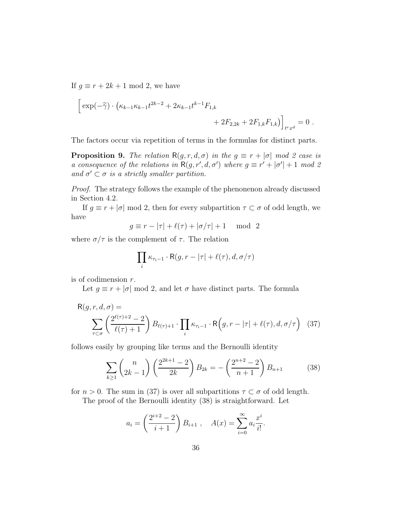If  $g \equiv r + 2k + 1 \mod 2$ , we have

$$
\Big[\exp(-\widetilde{\gamma})\cdot\left(\kappa_{k-1}\kappa_{k-1}t^{2k-2} + 2\kappa_{k-1}t^{k-1}F_{1,k}\right.\right.\\ \left.\left. + 2F_{2,2k} + 2F_{1,k}F_{1,k}\right)\right]_{t^r x^d} = 0\ .
$$

The factors occur via repetition of terms in the formulas for distinct parts.

**Proposition 9.** *The relation*  $R(g, r, d, \sigma)$  *in the*  $g \equiv r + |\sigma|$  *mod 2 case is a* consequence of the relations in  $R(g, r', d, \sigma')$  where  $g \equiv r' + |\sigma'| + 1 \mod 2$ and  $\sigma' \subset \sigma$  *is a strictly smaller partition.* 

*Proof.* The strategy follows the example of the phenonenon already discussed in Section 4.2.

If  $g \equiv r + |\sigma| \mod 2$ , then for every subpartition  $\tau \subset \sigma$  of odd length, we have

$$
g \equiv r - |\tau| + \ell(\tau) + |\sigma/\tau| + 1 \mod 2
$$

where  $\sigma/\tau$  is the complement of  $\tau$ . The relation

$$
\prod_i \kappa_{\tau_i - 1} \cdot {\sf R}(g, r - |\tau| + \ell(\tau), d, \sigma/\tau)
$$

is of codimension r.

Let  $g \equiv r + |\sigma| \mod 2$ , and let  $\sigma$  have distinct parts. The formula

$$
R(g, r, d, \sigma) = \sum_{\tau \subset \sigma} \left( \frac{2^{\ell(\tau)+2} - 2}{\ell(\tau) + 1} \right) B_{\ell(\tau)+1} \cdot \prod_{i} \kappa_{\tau_{i}-1} \cdot R(g, r - |\tau| + \ell(\tau), d, \sigma/\tau) \tag{37}
$$

follows easily by grouping like terms and the Bernoulli identity

$$
\sum_{k\geq 1} \binom{n}{2k-1} \left(\frac{2^{2k+1}-2}{2k}\right) B_{2k} = -\left(\frac{2^{n+2}-2}{n+1}\right) B_{n+1} \tag{38}
$$

for  $n > 0$ . The sum in (37) is over all subpartitions  $\tau \subset \sigma$  of odd length.

The proof of the Bernoulli identity (38) is straightforward. Let

$$
a_i = \left(\frac{2^{i+2} - 2}{i+1}\right) B_{i+1}, \quad A(x) = \sum_{i=0}^{\infty} a_i \frac{x^i}{i!}.
$$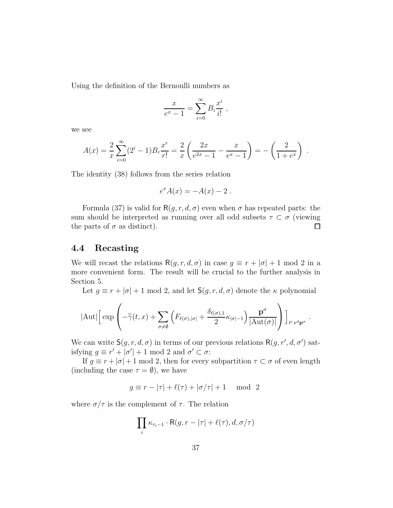Using the definition of the Bernoulli numbers as

$$
\frac{x}{e^x - 1} = \sum_{i=0}^{\infty} B_i \frac{x^i}{i!} ,
$$

we see

$$
A(x) = \frac{2}{x} \sum_{i=0}^{\infty} (2^i - 1) B_r \frac{x^r}{r!} = \frac{2}{x} \left( \frac{2x}{e^{2x} - 1} - \frac{x}{e^x - 1} \right) = -\left( \frac{2}{1 + e^x} \right)
$$

.

The identity (38) follows from the series relation

$$
e^x A(x) = -A(x) - 2.
$$

Formula (37) is valid for  $R(g, r, d, \sigma)$  even when  $\sigma$  has repeated parts: the sum should be interpreted as running over all odd subsets  $\tau \subset \sigma$  (viewing the parts of  $\sigma$  as distinct). the parts of  $\sigma$  as distinct).

### 4.4 Recasting

We will recast the relations  $R(g, r, d, \sigma)$  in case  $g \equiv r + |\sigma| + 1 \mod 2$  in a more convenient form. The result will be crucial to the further analysis in Section 5.

Let  $g \equiv r + |\sigma| + 1 \mod 2$ , and let  $\mathsf{S}(g, r, d, \sigma)$  denote the  $\kappa$  polynomial

$$
|\mathrm{Aut}| \Big[ \exp \left( -\widetilde{\gamma}(t,x) + \sum_{\sigma \neq \emptyset} \left( F_{\ell(\sigma),|\sigma|} + \frac{\delta_{\ell(\sigma),1}}{2} \kappa_{|\sigma|-1} \right) \frac{\mathbf{p}^{\sigma}}{|\mathrm{Aut}(\sigma)|} \right) \Big]_{t^r x^d \mathbf{p}^{\sigma}}.
$$

We can write  $S(g, r, d, \sigma)$  in terms of our previous relations  $R(g, r', d, \sigma')$  satisfying  $g \equiv r' + |\sigma'| + 1 \mod 2$  and  $\sigma' \subset \sigma$ :

If  $g \equiv r + |\sigma| + 1 \mod 2$ , then for every subpartition  $\tau \subset \sigma$  of even length (including the case  $\tau = \emptyset$ ), we have

$$
g \equiv r - |\tau| + \ell(\tau) + |\sigma/\tau| + 1 \mod 2
$$

where  $\sigma/\tau$  is the complement of  $\tau$ . The relation

$$
\prod_i \kappa_{\tau_i-1} \cdot {\sf R}(g,r-|\tau|+\ell(\tau),d,\sigma/\tau)
$$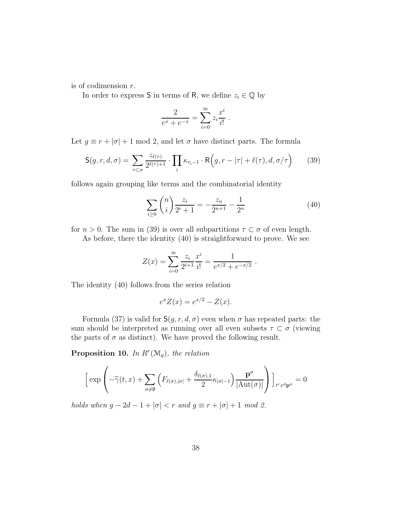is of codimension r.

In order to express S in terms of R, we define  $z_i \in \mathbb{Q}$  by

$$
\frac{2}{e^x + e^{-x}} = \sum_{i=0}^{\infty} z_i \frac{x^i}{i!} .
$$

Let  $g \equiv r + |\sigma| + 1 \mod 2$ , and let  $\sigma$  have distinct parts. The formula

$$
\mathsf{S}(g,r,d,\sigma) = \sum_{\tau \subset \sigma} \frac{z_{\ell(\tau)}}{2^{\ell(\tau)+1}} \cdot \prod_i \kappa_{\tau_i-1} \cdot \mathsf{R}\Big(g,r-|\tau| + \ell(\tau),d,\sigma/\tau\Big) \tag{39}
$$

follows again grouping like terms and the combinatorial identity

$$
\sum_{i\geq 0} \binom{n}{i} \frac{z_i}{2^i + 1} = -\frac{z_n}{2^{n+1}} - \frac{1}{2^n} \tag{40}
$$

for  $n > 0$ . The sum in (39) is over all subpartitions  $\tau \subset \sigma$  of even length.

As before, there the identity (40) is straightforward to prove. We see

$$
Z(x) = \sum_{i=0}^{\infty} \frac{z_i}{2^{i+1}} \frac{x^i}{i!} = \frac{1}{e^{x/2} + e^{-x/2}}.
$$

The identity (40) follows from the series relation

$$
e^x Z(x) = e^{x/2} - Z(x).
$$

Formula (37) is valid for  $S(g, r, d, \sigma)$  even when  $\sigma$  has repeated parts: the sum should be interpreted as running over all even subsets  $\tau \subset \sigma$  (viewing the parts of  $\sigma$  as distinct). We have proved the following result.

Proposition 10. *In* R<sup>r</sup> (Mg)*, the relation*

$$
\left[\exp\left(-\widetilde{\gamma}(t,x)+\sum_{\sigma\neq\emptyset}\left(F_{\ell(\sigma),|\sigma|}+\frac{\delta_{\ell(\sigma),1}}{2}\kappa_{|\sigma|-1}\right)\frac{\mathbf{p}^{\sigma}}{|\mathrm{Aut}(\sigma)|}\right)\right]_{t^rx^d\mathbf{p}^{\sigma}}=0
$$

*holds when*  $g - 2d - 1 + |\sigma| < r$  *and*  $g \equiv r + |\sigma| + 1$  *mod* 2.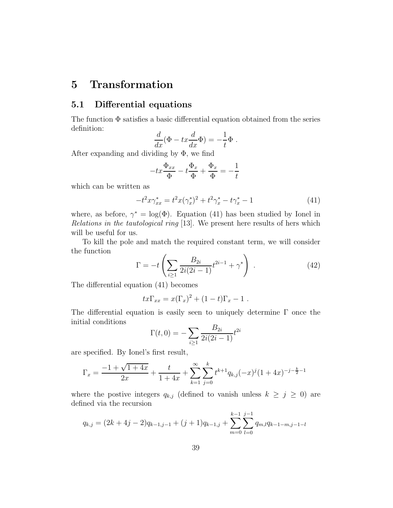# 5 Transformation

### 5.1 Differential equations

The function  $\Phi$  satisfies a basic differential equation obtained from the series definition:

$$
\frac{d}{dx}(\Phi - tx\frac{d}{dx}\Phi) = -\frac{1}{t}\Phi.
$$

After expanding and dividing by  $\Phi$ , we find

$$
-tx\frac{\Phi_{xx}}{\Phi}-t\frac{\Phi_x}{\Phi}+\frac{\Phi_x}{\Phi}=-\frac{1}{t}
$$

which can be written as

$$
-t^2x\gamma_{xx}^* = t^2x(\gamma_x^*)^2 + t^2\gamma_x^* - t\gamma_x^* - 1\tag{41}
$$

where, as before,  $\gamma^* = \log(\Phi)$ . Equation (41) has been studied by Ionel in *Relations in the tautological ring* [13]. We present here results of hers which will be useful for us.

To kill the pole and match the required constant term, we will consider the function

$$
\Gamma = -t \left( \sum_{i \ge 1} \frac{B_{2i}}{2i(2i-1)} t^{2i-1} + \gamma^* \right) . \tag{42}
$$

The differential equation (41) becomes

$$
tx\Gamma_{xx}=x(\Gamma_x)^2+(1-t)\Gamma_x-1.
$$

The differential equation is easily seen to uniquely determine  $\Gamma$  once the initial conditions

$$
\Gamma(t,0) = -\sum_{i\geq 1} \frac{B_{2i}}{2i(2i-1)} t^{2i}
$$

are specified. By Ionel's first result,

$$
\Gamma_x = \frac{-1 + \sqrt{1 + 4x}}{2x} + \frac{t}{1 + 4x} + \sum_{k=1}^{\infty} \sum_{j=0}^{k} t^{k+1} q_{k,j}(-x)^j (1 + 4x)^{-j - \frac{k}{2} - 1}
$$

where the postive integers  $q_{k,j}$  (defined to vanish unless  $k \geq j \geq 0$ ) are defined via the recursion

$$
q_{k,j} = (2k+4j-2)q_{k-1,j-1} + (j+1)q_{k-1,j} + \sum_{m=0}^{k-1} \sum_{l=0}^{j-1} q_{m,l} q_{k-1-m,j-1-l}
$$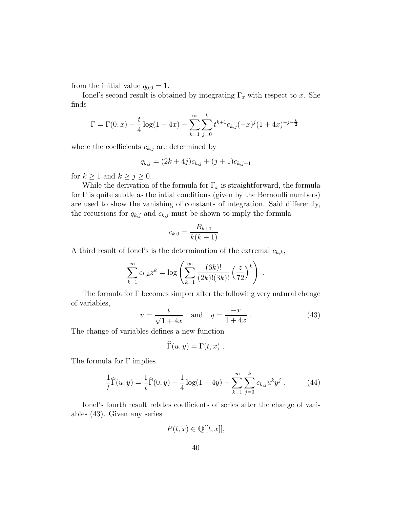from the initial value  $q_{0,0} = 1$ .

Ionel's second result is obtained by integrating  $\Gamma_x$  with respect to x. She finds

$$
\Gamma = \Gamma(0, x) + \frac{t}{4} \log(1 + 4x) - \sum_{k=1}^{\infty} \sum_{j=0}^{k} t^{k+1} c_{k,j}(-x)^{j} (1 + 4x)^{-j - \frac{k}{2}}
$$

where the coefficients  $c_{k,j}$  are determined by

$$
q_{k,j} = (2k+4j)c_{k,j} + (j+1)c_{k,j+1}
$$

for  $k \ge 1$  and  $k \ge j \ge 0$ .

While the derivation of the formula for  $\Gamma_x$  is straightforward, the formula for  $\Gamma$  is quite subtle as the intial conditions (given by the Bernoulli numbers) are used to show the vanishing of constants of integration. Said differently, the recursions for  $q_{k,j}$  and  $c_{k,j}$  must be shown to imply the formula

$$
c_{k,0} = \frac{B_{k+1}}{k(k+1)} \ .
$$

A third result of Ionel's is the determination of the extremal  $c_{k,k}$ ,

$$
\sum_{k=1}^{\infty} c_{k,k} z^k = \log \left( \sum_{k=1}^{\infty} \frac{(6k)!}{(2k)!(3k)!} \left( \frac{z}{72} \right)^k \right).
$$

The formula for Γ becomes simpler after the following very natural change of variables,

$$
u = \frac{t}{\sqrt{1+4x}}
$$
 and  $y = \frac{-x}{1+4x}$ . (43)

The change of variables defines a new function

$$
\widehat{\Gamma}(u,y)=\Gamma(t,x)\;.
$$

The formula for  $\Gamma$  implies

$$
\frac{1}{t}\widehat{\Gamma}(u,y) = \frac{1}{t}\widehat{\Gamma}(0,y) - \frac{1}{4}\log(1+4y) - \sum_{k=1}^{\infty}\sum_{j=0}^{k}c_{k,j}u^{k}y^{j}.
$$
 (44)

Ionel's fourth result relates coefficients of series after the change of variables (43). Given any series

$$
P(t,x) \in \mathbb{Q}[[t,x]],
$$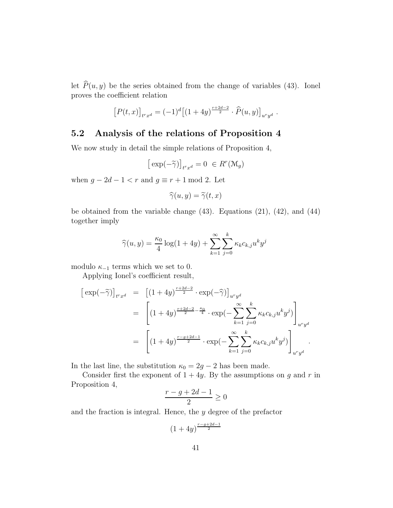let  $\widehat{P}(u, y)$  be the series obtained from the change of variables (43). Ionel proves the coefficient relation

$$
[P(t,x)]_{t^r x^d} = (-1)^d [(1+4y)^{\frac{r+2d-2}{2}} \cdot \widehat{P}(u,y)]_{u^r y^d}.
$$

### 5.2 Analysis of the relations of Proposition 4

We now study in detail the simple relations of Proposition 4,

$$
\left[\exp(-\widetilde{\gamma})\right]_{t^r x^d} = 0 \in R^r(\mathcal{M}_g)
$$

when  $g - 2d - 1 < r$  and  $g \equiv r + 1 \mod 2$ . Let

$$
\widehat{\gamma}(u,y) = \widetilde{\gamma}(t,x)
$$

be obtained from the variable change  $(43)$ . Equations  $(21)$ ,  $(42)$ , and  $(44)$ together imply

$$
\widehat{\gamma}(u, y) = \frac{\kappa_0}{4} \log(1 + 4y) + \sum_{k=1}^{\infty} \sum_{j=0}^{k} \kappa_k c_{k, j} u^k y^j
$$

modulo  $\kappa_{-1}$  terms which we set to 0.

Applying Ionel's coefficient result,

$$
\begin{array}{rcl}\n\left[\exp(-\widetilde{\gamma})\right]_{t^r x^d} & = & \left[(1+4y)^{\frac{r+2d-2}{2}} \cdot \exp(-\widehat{\gamma})\right]_{u^r y^d} \\
& = & \left[(1+4y)^{\frac{r+2d-2}{2} - \frac{\kappa_0}{4}} \cdot \exp(-\sum_{k=1}^{\infty} \sum_{j=0}^k \kappa_k c_{k,j} u^k y^j)\right]_{u^r y^d} \\
& = & \left[(1+4y)^{\frac{r-g+2d-1}{2}} \cdot \exp(-\sum_{k=1}^{\infty} \sum_{j=0}^k \kappa_k c_{k,j} u^k y^j)\right]_{u^r y^d}.\n\end{array}
$$

In the last line, the substitution  $\kappa_0 = 2g - 2$  has been made.

Consider first the exponent of  $1 + 4y$ . By the assumptions on g and r in Proposition 4,

$$
\frac{r-g+2d-1}{2} \ge 0
$$

and the fraction is integral. Hence, the y degree of the prefactor

$$
(1+4y)^{\frac{r-g+2d-1}{2}}
$$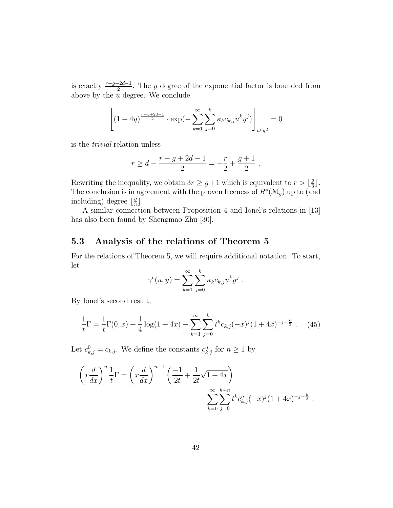is exactly  $\frac{r-g+2d-1}{2}$ . The y degree of the exponential factor is bounded from above by the  $u$  degree. We conclude

$$
\left[ (1+4y)^{\frac{r-g+2d-1}{2}} \cdot \exp(-\sum_{k=1}^{\infty} \sum_{j=0}^{k} \kappa_k c_{k,j} u^k y^j) \right]_{u^r y^d} = 0
$$

is the *trivial* relation unless

$$
r \ge d - \frac{r - g + 2d - 1}{2} = -\frac{r}{2} + \frac{g + 1}{2}
$$
.

Rewriting the inequality, we obtain  $3r \geq g+1$  which is equivalent to  $r > \lfloor \frac{g}{3} \rfloor$  $\frac{g}{3}$ . The conclusion is in agreement with the proven freeness of  $R^*(\mathcal{M}_g)$  up to (and including) degree  $\lfloor \frac{g}{3} \rfloor$  $\frac{g}{3}$ .

A similar connection between Proposition 4 and Ionel's relations in [13] has also been found by Shengmao Zhu [30].

### 5.3 Analysis of the relations of Theorem 5

For the relations of Theorem 5, we will require additional notation. To start, let

$$
\gamma^{c}(u,y) = \sum_{k=1}^{\infty} \sum_{j=0}^{k} \kappa_k c_{k,j} u^k y^j.
$$

By Ionel's second result,

$$
\frac{1}{t}\Gamma = \frac{1}{t}\Gamma(0,x) + \frac{1}{4}\log(1+4x) - \sum_{k=1}^{\infty}\sum_{j=0}^{k} t^{k}c_{k,j}(-x)^{j}(1+4x)^{-j-\frac{k}{2}}.
$$
 (45)

Let  $c_{k,j}^0 = c_{k,j}$ . We define the constants  $c_{k,j}^n$  for  $n \geq 1$  by

$$
\left(x\frac{d}{dx}\right)^n \frac{1}{t} \Gamma = \left(x\frac{d}{dx}\right)^{n-1} \left(\frac{-1}{2t} + \frac{1}{2t}\sqrt{1+4x}\right) - \sum_{k=0}^{\infty} \sum_{j=0}^{k+n} t^k c_{k,j}^n (-x)^j (1+4x)^{-j-\frac{k}{2}}.
$$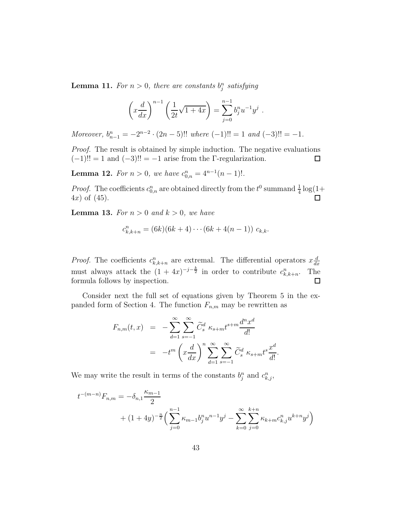**Lemma 11.** For  $n > 0$ , there are constants  $b_j^n$  satisfying

$$
\left(x\frac{d}{dx}\right)^{n-1}\left(\frac{1}{2t}\sqrt{1+4x}\right) = \sum_{j=0}^{n-1}b_j^n u^{-1}y^j.
$$

*Moreover,*  $b_{n-1}^n = -2^{n-2} \cdot (2n-5)!!$  *where*  $(-1)!! = 1$  *and*  $(-3)!! = -1$ *.* 

*Proof.* The result is obtained by simple induction. The negative evaluations  $(-1)!! = 1$  and  $(-3)!! = -1$  arise from the Γ-regularization.  $\Box$ 

**Lemma 12.** *For*  $n > 0$ *, we have*  $c_{0,n}^n = 4^{n-1}(n-1)!$ *.* 

*Proof.* The coefficients  $c_{0,n}^n$  are obtained directly from the  $t^0$  summand  $\frac{1}{4} \log(1+t)$  $4x$ ) of  $(45)$ .  $\Box$ 

**Lemma 13.** For  $n > 0$  and  $k > 0$ , we have

$$
c_{k,k+n}^n = (6k)(6k+4)\cdots(6k+4(n-1)) c_{k,k}.
$$

*Proof.* The coefficients  $c_{k,k+n}^n$  are extremal. The differential operators  $x\frac{d}{dx}$  $dx$ must always attack the  $(1 + 4x)^{-j-\frac{k}{2}}$  in order to contribute  $c_{k,k+n}^n$ . The formula follows by inspection.  $\Box$ 

Consider next the full set of equations given by Theorem 5 in the expanded form of Section 4. The function  $F_{n,m}$  may be rewritten as

$$
F_{n,m}(t,x) = -\sum_{d=1}^{\infty} \sum_{s=-1}^{\infty} \widetilde{C}_s^d \kappa_{s+m} t^{s+m} \frac{d^n x^d}{d!}
$$
  

$$
= -t^m \left( x \frac{d}{dx} \right)^n \sum_{d=1}^{\infty} \sum_{s=-1}^{\infty} \widetilde{C}_s^d \kappa_{s+m} t^s \frac{x^d}{d!}.
$$

We may write the result in terms of the constants  $b_j^n$  and  $c_{k,j}^n$ ,

$$
t^{-(m-n)}F_{n,m} = -\delta_{n,1}\frac{\kappa_{m-1}}{2} + (1+4y)^{-\frac{n}{2}} \left( \sum_{j=0}^{n-1} \kappa_{m-1} b_j^n u^{n-1} y^j - \sum_{k=0}^{\infty} \sum_{j=0}^{k+n} \kappa_{k+m} c_{k,j}^n u^{k+n} y^j \right)
$$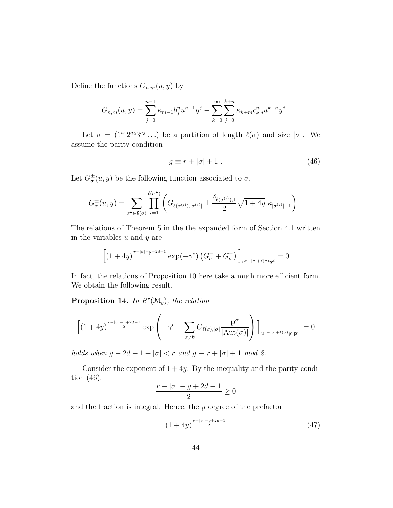Define the functions  $G_{n,m}(u, y)$  by

$$
G_{n,m}(u,y) = \sum_{j=0}^{n-1} \kappa_{m-1} b_j^n u^{n-1} y^j - \sum_{k=0}^{\infty} \sum_{j=0}^{k+n} \kappa_{k+m} c_{k,j}^n u^{k+n} y^j.
$$

Let  $\sigma = (1^{a_1}2^{a_2}3^{a_3}\ldots)$  be a partition of length  $\ell(\sigma)$  and size  $|\sigma|$ . We assume the parity condition

$$
g \equiv r + |\sigma| + 1. \tag{46}
$$

Let  $G_{\sigma}^{\pm}(u, y)$  be the following function associated to  $\sigma$ ,

$$
G_{\sigma}^{\pm}(u,y) = \sum_{\sigma^{\bullet} \in S(\sigma)} \prod_{i=1}^{\ell(\sigma^{\bullet})} \left( G_{\ell(\sigma^{(i)}),|\sigma^{(i)}|} \pm \frac{\delta_{\ell(\sigma^{(i)}),1}}{2} \sqrt{1+4y} \; \kappa_{|\sigma^{(i)}|-1} \right) \; .
$$

The relations of Theorem 5 in the the expanded form of Section 4.1 written in the variables  $u$  and  $y$  are

$$
\left[\left(1+4y\right)^{\frac{r-|\sigma|-g+2d-1}{2}}\exp(-\gamma^c)\left(G^+_\sigma+G^-_\sigma\right)\right]_{u^{r-|\sigma|+\ell(\sigma)}y^d}=0
$$

In fact, the relations of Proposition 10 here take a much more efficient form. We obtain the following result.

Proposition 14. *In* R<sup>r</sup> (Mg)*, the relation*

$$
\left[ (1+4y)^{\frac{r-|\sigma|-g+2d-1}{2}} \exp\left(-\gamma^c - \sum_{\sigma \neq \emptyset} G_{\ell(\sigma), |\sigma|} \frac{\mathbf{p}^{\sigma}}{|\mathrm{Aut}(\sigma)|}\right) \right]_{u^{r-|\sigma|+\ell(\sigma)} y^d \mathbf{p}^{\sigma}} = 0
$$

*holds when*  $g - 2d - 1 + |\sigma| < r$  *and*  $g \equiv r + |\sigma| + 1$  *mod 2.* 

Consider the exponent of  $1 + 4y$ . By the inequality and the parity condition (46),

$$
\frac{r - |\sigma| - g + 2d - 1}{2} \ge 0
$$

and the fraction is integral. Hence, the y degree of the prefactor

$$
(1+4y)^{\frac{r-|\sigma|-g+2d-1}{2}} \tag{47}
$$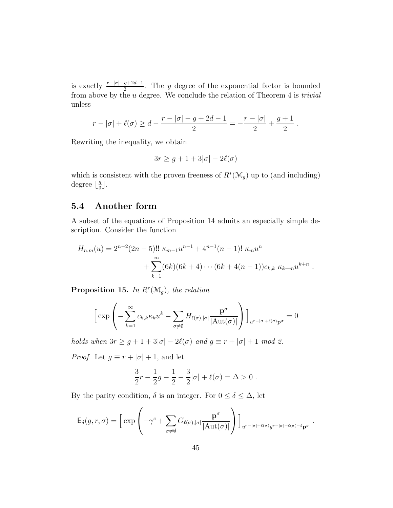is exactly  $\frac{r-|\sigma|-g+2d-1}{2}$ . The y degree of the exponential factor is bounded from above by the u degree. We conclude the relation of Theorem 4 is *trivial* unless

$$
r - |\sigma| + \ell(\sigma) \ge d - \frac{r - |\sigma| - g + 2d - 1}{2} = -\frac{r - |\sigma|}{2} + \frac{g + 1}{2}.
$$

Rewriting the inequality, we obtain

$$
3r \ge g + 1 + 3|\sigma| - 2\ell(\sigma)
$$

which is consistent with the proven freeness of  $R^*(\mathcal{M}_g)$  up to (and including) degree  $\lfloor \frac{g}{3} \rfloor$  $\frac{g}{3}$ .

### 5.4 Another form

A subset of the equations of Proposition 14 admits an especially simple description. Consider the function

$$
H_{n,m}(u) = 2^{n-2}(2n-5)!! \kappa_{m-1}u^{n-1} + 4^{n-1}(n-1)!\kappa_m u^n
$$
  
+ 
$$
\sum_{k=1}^{\infty} (6k)(6k+4)\cdots (6k+4(n-1))c_{k,k} \kappa_{k+m}u^{k+n}.
$$

Proposition 15. *In* R<sup>r</sup> (Mg)*, the relation*

$$
\left[\exp\left(-\sum_{k=1}^{\infty}c_{k,k}\kappa_{k}u^{k}-\sum_{\sigma\neq\emptyset}H_{\ell(\sigma),|\sigma|}\frac{\mathbf{p}^{\sigma}}{|\mathrm{Aut}(\sigma)|}\right)\right]_{u^{r-|\sigma|+\ell(\sigma)}\mathbf{p}^{\sigma}}=0
$$

*holds when*  $3r \geq g + 1 + 3|\sigma| - 2\ell(\sigma)$  *and*  $g \equiv r + |\sigma| + 1$  *mod* 2.

*Proof.* Let  $g \equiv r + |\sigma| + 1$ , and let

$$
\frac{3}{2}r - \frac{1}{2}g - \frac{1}{2} - \frac{3}{2}|\sigma| + \ell(\sigma) = \Delta > 0.
$$

By the parity condition,  $\delta$  is an integer. For  $0 \leq \delta \leq \Delta$ , let

$$
\mathsf{E}_{\delta}(g,r,\sigma) = \left[ \exp \left( -\gamma^{c} + \sum_{\sigma \neq \emptyset} G_{\ell(\sigma),|\sigma|} \frac{\mathbf{p}^{\sigma}}{|\mathrm{Aut}(\sigma)|} \right) \right]_{u^{r-|\sigma|+\ell(\sigma)} y^{r-|\sigma|+\ell(\sigma)-\delta} \mathbf{p}^{\sigma}}
$$

.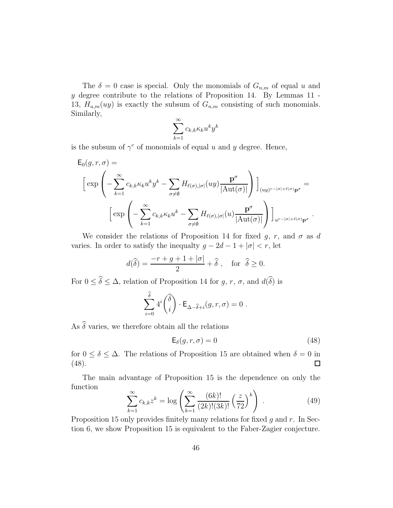The  $\delta = 0$  case is special. Only the monomials of  $G_{n,m}$  of equal u and y degree contribute to the relations of Proposition 14. By Lemmas 11 - 13,  $H_{u,m}(uy)$  is exactly the subsum of  $G_{n,m}$  consisting of such monomials. Similarly,

$$
\sum_{k=1}^{\infty} c_{k,k} \kappa_k u^k y^k
$$

is the subsum of  $\gamma^c$  of monomials of equal u and y degree. Hence,

$$
E_0(g, r, \sigma) =
$$
\n
$$
\left[ exp\left(-\sum_{k=1}^{\infty} c_{k,k} \kappa_k u^k y^k - \sum_{\sigma \neq \emptyset} H_{\ell(\sigma), |\sigma|}(uy) \frac{p^{\sigma}}{|\mathrm{Aut}(\sigma)|}\right) \right]_{(uy)^{r-|\sigma|+\ell(\sigma)} p^{\sigma}} =
$$
\n
$$
\left[ exp\left(-\sum_{k=1}^{\infty} c_{k,k} \kappa_k u^k - \sum_{\sigma \neq \emptyset} H_{\ell(\sigma), |\sigma|}(u) \frac{p^{\sigma}}{|\mathrm{Aut}(\sigma)|}\right) \right]_{u^{r-|\sigma|+\ell(\sigma)} p^{\sigma}}
$$

We consider the relations of Proposition 14 for fixed g, r, and  $\sigma$  as d varies. In order to satisfy the inequality  $g - 2d - 1 + |\sigma| < r$ , let

$$
d(\widehat{\delta}) = \frac{-r + g + 1 + |\sigma|}{2} + \widehat{\delta} , \quad \text{for } \widehat{\delta} \ge 0.
$$

For  $0 \leq \delta \leq \Delta$ , relation of Proposition 14 for g, r,  $\sigma$ , and  $d(\delta)$  is

$$
\sum_{i=0}^{\widehat{\delta}} 4^i {\widehat{\delta} \choose i} \cdot \mathsf{E}_{\Delta - \widehat{\delta} + i}(g, r, \sigma) = 0.
$$

As  $\widehat{\delta}$  varies, we therefore obtain all the relations

$$
\mathsf{E}_{\delta}(g, r, \sigma) = 0 \tag{48}
$$

.

for  $0 \le \delta \le \Delta$ . The relations of Proposition 15 are obtained when  $\delta = 0$  in (48). (48).

The main advantage of Proposition 15 is the dependence on only the function

$$
\sum_{k=1}^{\infty} c_{k,k} z^k = \log \left( \sum_{k=1}^{\infty} \frac{(6k)!}{(2k)!(3k)!} \left( \frac{z}{72} \right)^k \right) . \tag{49}
$$

Proposition 15 only provides finitely many relations for fixed g and r. In Section 6, we show Proposition 15 is equivalent to the Faber-Zagier conjecture.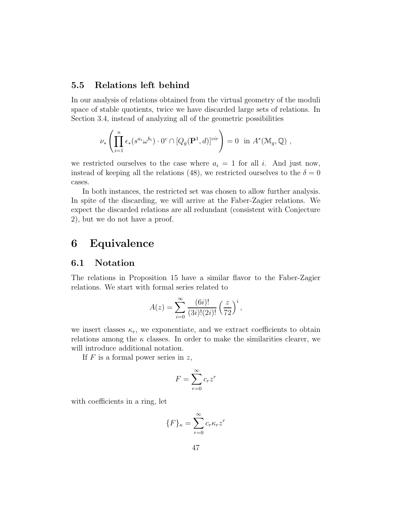### 5.5 Relations left behind

In our analysis of relations obtained from the virtual geometry of the moduli space of stable quotients, twice we have discarded large sets of relations. In Section 3.4, instead of analyzing all of the geometric possibilities

$$
\nu_*\left(\prod_{i=1}^n \epsilon_*(s^{a_i} \omega^{b_i}) \cdot 0^c \cap [Q_g(\mathbf{P}^1, d)]^{vir}\right) = 0 \text{ in } A^*(\mathcal{M}_g, \mathbb{Q}) ,
$$

we restricted ourselves to the case where  $a_i = 1$  for all i. And just now, instead of keeping all the relations (48), we restricted ourselves to the  $\delta = 0$ cases.

In both instances, the restricted set was chosen to allow further analysis. In spite of the discarding, we will arrive at the Faber-Zagier relations. We expect the discarded relations are all redundant (consistent with Conjecture 2), but we do not have a proof.

# 6 Equivalence

### 6.1 Notation

The relations in Proposition 15 have a similar flavor to the Faber-Zagier relations. We start with formal series related to

$$
A(z) = \sum_{i=0}^{\infty} \frac{(6i)!}{(3i)!(2i)!} \left(\frac{z}{72}\right)^i,
$$

we insert classes  $\kappa_r$ , we exponentiate, and we extract coefficients to obtain relations among the  $\kappa$  classes. In order to make the similarities clearer, we will introduce additional notation.

If  $F$  is a formal power series in  $z$ ,

$$
F = \sum_{r=0}^{\infty} c_r z^r
$$

with coefficients in a ring, let

$$
\{F\}_{\kappa} = \sum_{r=0}^{\infty} c_r \kappa_r z^r
$$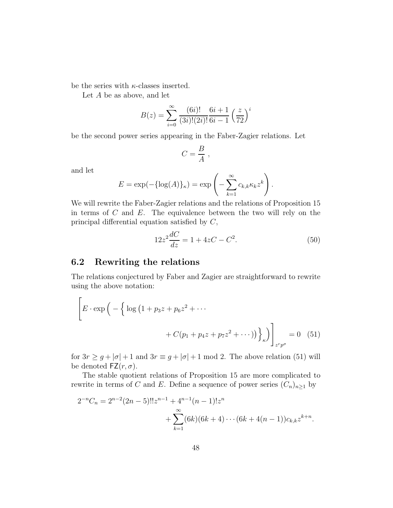be the series with  $\kappa$ -classes inserted.

Let  $A$  be as above, and let

$$
B(z) = \sum_{i=0}^{\infty} \frac{(6i)!}{(3i)!(2i)!} \frac{6i+1}{6i-1} \left(\frac{z}{72}\right)^i
$$

be the second power series appearing in the Faber-Zagier relations. Let

$$
C = \frac{B}{A} \; ,
$$

and let

$$
E = \exp(-\{\log(A)\}_{\kappa}) = \exp\left(-\sum_{k=1}^{\infty} c_{k,k} \kappa_k z^k\right).
$$

We will rewrite the Faber-Zagier relations and the relations of Proposition 15 in terms of  $C$  and  $E$ . The equivalence between the two will rely on the principal differential equation satisfied by C,

$$
12z^2 \frac{dC}{dz} = 1 + 4zC - C^2.
$$
 (50)

### 6.2 Rewriting the relations

The relations conjectured by Faber and Zagier are straightforward to rewrite using the above notation:

$$
\[E \cdot \exp\left(-\left\{\log\left(1 + p_3 z + p_6 z^2 + \cdots + C(p_1 + p_4 z + p_7 z^2 + \cdots)\right)\right\}_\kappa\right)\]_{z^r p^\sigma} = 0 \quad (51)
$$

for  $3r \geq g + |\sigma| + 1$  and  $3r \equiv g + |\sigma| + 1$  mod 2. The above relation (51) will be denoted  $\mathsf{FZ}(r,\sigma)$ .

The stable quotient relations of Proposition 15 are more complicated to rewrite in terms of C and E. Define a sequence of power series  $(C_n)_{n\geq 1}$  by

$$
2^{-n}C_n = 2^{n-2}(2n-5)!!z^{n-1} + 4^{n-1}(n-1)!z^n
$$
  
+ 
$$
\sum_{k=1}^{\infty} (6k)(6k+4)\cdots(6k+4(n-1))c_{k,k}z^{k+n}.
$$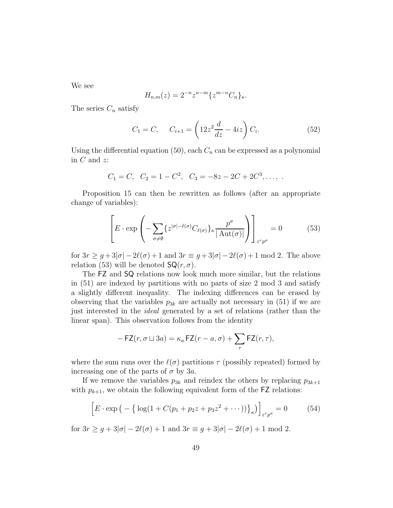We see

$$
H_{n,m}(z) = 2^{-n} z^{n-m} \{ z^{m-n} C_n \}_{\kappa}.
$$

The series  $C_n$  satisfy

$$
C_1 = C, \quad C_{i+1} = \left(12z^2 \frac{d}{dz} - 4iz\right) C_i.
$$
 (52)

Using the differential equation (50), each  $C_n$  can be expressed as a polynomial in  $C$  and  $z$ :

$$
C_1 = C
$$
,  $C_2 = 1 - C^2$ ,  $C_3 = -8z - 2C + 2C^3$ , ...,

Proposition 15 can then be rewritten as follows (after an appropriate change of variables):

$$
\left[E \cdot \exp\left(-\sum_{\sigma \neq \emptyset} \{z^{|\sigma|-\ell(\sigma)} C_{\ell(\sigma)}\}_{\kappa} \frac{p^{\sigma}}{|\operatorname{Aut}(\sigma)|}\right)\right]_{z^r p^{\sigma}} = 0 \tag{53}
$$

for  $3r \geq g+3|\sigma|-2\ell(\sigma)+1$  and  $3r \equiv g+3|\sigma|-2\ell(\sigma)+1$  mod 2. The above relation (53) will be denoted  $\mathsf{SQ}(r, \sigma)$ .

The FZ and SQ relations now look much more similar, but the relations in (51) are indexed by partitions with no parts of size 2 mod 3 and satisfy a slightly different inequality. The indexing differences can be erased by observing that the variables  $p_{3k}$  are actually not necessary in (51) if we are just interested in the *ideal* generated by a set of relations (rather than the linear span). This observation follows from the identity

$$
-\mathsf{FZ}(r,\sigma\sqcup 3a)=\kappa_a\,\mathsf{FZ}(r-a,\sigma)+\sum_{\tau}\mathsf{FZ}(r,\tau),
$$

where the sum runs over the  $\ell(\sigma)$  partitions  $\tau$  (possibly repeated) formed by increasing one of the parts of  $\sigma$  by 3a.

If we remove the variables  $p_{3k}$  and reindex the others by replacing  $p_{3k+1}$ with  $p_{k+1}$ , we obtain the following equivalent form of the  $FZ$  relations:

$$
\[E \cdot \exp\left(-\left\{\log(1 + C(p_1 + p_2 z + p_3 z^2 + \cdots))\right\}_\kappa\right)\]_{z^r p^\sigma} = 0 \tag{54}
$$

for  $3r \ge g + 3|\sigma| - 2\ell(\sigma) + 1$  and  $3r \equiv g + 3|\sigma| - 2\ell(\sigma) + 1$  mod 2.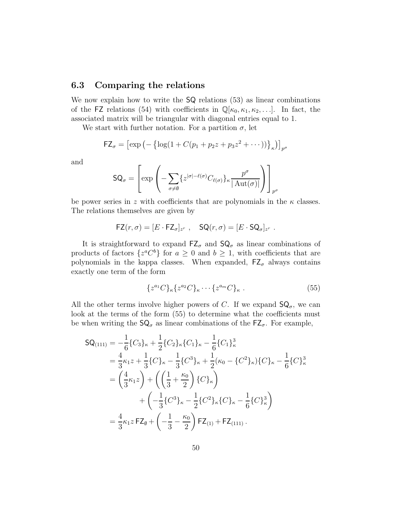#### 6.3 Comparing the relations

We now explain how to write the SQ relations (53) as linear combinations of the FZ relations (54) with coefficients in  $\mathbb{Q}[\kappa_0, \kappa_1, \kappa_2, \ldots]$ . In fact, the associated matrix will be triangular with diagonal entries equal to 1.

We start with further notation. For a partition  $\sigma$ , let

$$
\mathsf{FZ}_{\sigma} = [\exp(-\{\log(1 + C(p_1 + p_2 z + p_3 z^2 + \cdots))\}_{\kappa})]_{p^{\sigma}}
$$

and

$$
\mathsf{SQ}_{\sigma} = \left[ \exp \left( - \sum_{\sigma \neq \emptyset} \{ z^{|\sigma| - \ell(\sigma)} C_{\ell(\sigma)} \}_{\kappa} \frac{p^{\sigma}}{|\operatorname{Aut}(\sigma)|} \right) \right]_{p^{\sigma}}
$$

be power series in z with coefficients that are polynomials in the  $\kappa$  classes. The relations themselves are given by

$$
\mathsf{FZ}(r,\sigma)=[E\cdot\mathsf{FZ}_{\sigma}]_{z^r},\quad \mathsf{SQ}(r,\sigma)=[E\cdot\mathsf{SQ}_{\sigma}]_{z^r}.
$$

It is straightforward to expand  $FZ_{\sigma}$  and  $SQ_{\sigma}$  as linear combinations of products of factors  $\{z^a C^b\}$  for  $a \geq 0$  and  $b \geq 1$ , with coefficients that are polynomials in the kappa classes. When expanded,  $FZ_{\sigma}$  always contains exactly one term of the form

$$
\{z^{a_1}C\}_{\kappa}\{z^{a_2}C\}_{\kappa}\cdots\{z^{a_m}C\}_{\kappa}.
$$
 (55)

All the other terms involve higher powers of C. If we expand  $SQ_{\sigma}$ , we can look at the terms of the form (55) to determine what the coefficients must be when writing the  $SQ_{\sigma}$  as linear combinations of the  $FZ_{\sigma}$ . For example,

$$
SQ_{(111)} = -\frac{1}{6} \{C_3\}_{\kappa} + \frac{1}{2} \{C_2\}_{\kappa} \{C_1\}_{\kappa} - \frac{1}{6} \{C_1\}_{\kappa}^3
$$
  
\n
$$
= \frac{4}{3} \kappa_1 z + \frac{1}{3} \{C\}_{\kappa} - \frac{1}{3} \{C^3\}_{\kappa} + \frac{1}{2} (\kappa_0 - \{C^2\}_{\kappa}) \{C\}_{\kappa} - \frac{1}{6} \{C\}_{\kappa}^3
$$
  
\n
$$
= \left(\frac{4}{3} \kappa_1 z\right) + \left(\left(\frac{1}{3} + \frac{\kappa_0}{2}\right) \{C\}_{\kappa}\right)
$$
  
\n
$$
+ \left(-\frac{1}{3} \{C^3\}_{\kappa} - \frac{1}{2} \{C^2\}_{\kappa} \{C\}_{\kappa} - \frac{1}{6} \{C\}_{\kappa}^3\right)
$$
  
\n
$$
= \frac{4}{3} \kappa_1 z \, \mathsf{FZ}_\emptyset + \left(-\frac{1}{3} - \frac{\kappa_0}{2}\right) \mathsf{FZ}_{(1)} + \mathsf{FZ}_{(111)}.
$$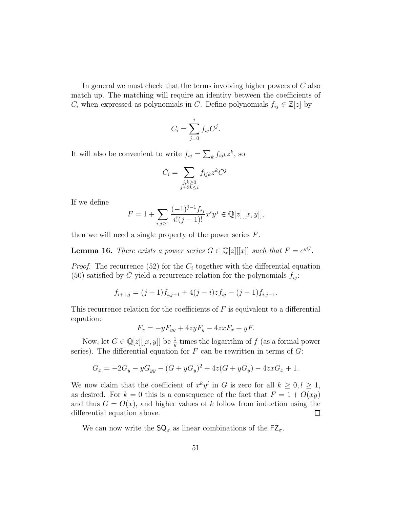In general we must check that the terms involving higher powers of C also match up. The matching will require an identity between the coefficients of  $C_i$  when expressed as polynomials in C. Define polynomials  $f_{ij} \in \mathbb{Z}[z]$  by

$$
C_i = \sum_{j=0}^i f_{ij} C^j.
$$

It will also be convenient to write  $f_{ij} = \sum_{k} f_{ijk} z^{k}$ , so

$$
C_i = \sum_{\substack{j,k \ge 0 \\ j+3k \le i}} f_{ijk} z^k C^j.
$$

If we define

$$
F = 1 + \sum_{i,j \ge 1} \frac{(-1)^{j-1} f_{ij}}{i!(j-1)!} x^i y^j \in \mathbb{Q}[z][[x, y]],
$$

then we will need a single property of the power series  $F$ .

**Lemma 16.** *There exists a power series*  $G \in \mathbb{Q}[z][[x]]$  *such that*  $F = e^{yG}$ .

*Proof.* The recurrence  $(52)$  for the  $C_i$  together with the differential equation (50) satisfied by C yield a recurrence relation for the polynomials  $f_{ij}$ :

$$
f_{i+1,j} = (j+1)f_{i,j+1} + 4(j-i)zf_{ij} - (j-1)f_{i,j-1}.
$$

This recurrence relation for the coefficients of  $F$  is equivalent to a differential equation:

$$
F_x = -yF_{yy} + 4zyF_y - 4zxF_x + yF.
$$

Now, let  $G \in \mathbb{Q}[z][[x, y]]$  be  $\frac{1}{y}$  times the logarithm of  $f$  (as a formal power series). The differential equation for  $F$  can be rewritten in terms of  $G$ :

$$
G_x = -2G_y - yG_{yy} - (G + yG_y)^2 + 4z(G + yG_y) - 4zxG_x + 1.
$$

We now claim that the coefficient of  $x^k y^l$  in G is zero for all  $k \geq 0, l \geq 1$ , as desired. For  $k = 0$  this is a consequence of the fact that  $F = 1 + O(xy)$ and thus  $G = O(x)$ , and higher values of k follow from induction using the differential equation above.  $\Box$ 

We can now write the  $SQ_{\sigma}$  as linear combinations of the  $FZ_{\sigma}$ .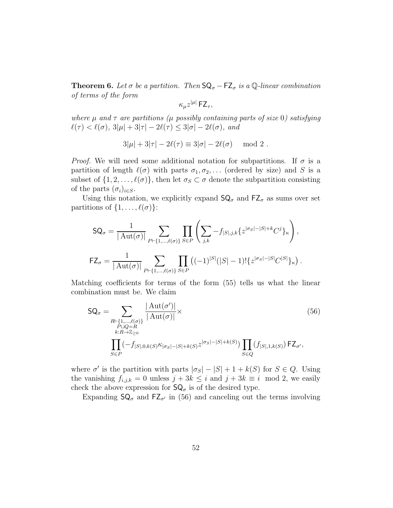**Theorem 6.** Let  $\sigma$  be a partition. Then  $SQ_{\sigma} - FZ_{\sigma}$  is a Q-linear combination *of terms of the form*

$$
\kappa_{\mu} z^{|\mu|} \, {\sf FZ}_{\tau},
$$

*where*  $\mu$  *and*  $\tau$  *are partitions* ( $\mu$  *possibly containing parts of size* 0) *satisfying*  $\ell(\tau) < \ell(\sigma)$ ,  $3|\mu| + 3|\tau| - 2\ell(\tau) \leq 3|\sigma| - 2\ell(\sigma)$ , and

$$
3|\mu| + 3|\tau| - 2\ell(\tau) \equiv 3|\sigma| - 2\ell(\sigma) \mod 2.
$$

*Proof.* We will need some additional notation for subpartitions. If  $\sigma$  is a partition of length  $\ell(\sigma)$  with parts  $\sigma_1, \sigma_2, \ldots$  (ordered by size) and S is a subset of  $\{1, 2, \ldots, \ell(\sigma)\}\)$ , then let  $\sigma_S \subset \sigma$  denote the subpartition consisting of the parts  $(\sigma_i)_{i \in S}$ .

Using this notation, we explicitly expand  $SQ_{\sigma}$  and  $FZ_{\sigma}$  as sums over set partitions of  $\{1, \ldots, \ell(\sigma)\}$ :

$$
\mathsf{SQ}_{\sigma} = \frac{1}{|\operatorname{Aut}(\sigma)|} \sum_{P \vdash \{1, \ldots, \ell(\sigma)\}} \prod_{S \in P} \left( \sum_{j,k} -f_{|S|,j,k} \{z^{|\sigma_S|-|S|+k} C^j\}_\kappa \right),
$$
  

$$
\mathsf{FZ}_{\sigma} = \frac{1}{|\operatorname{Aut}(\sigma)|} \sum_{P \vdash \{1, \ldots, \ell(\sigma)\}} \prod_{S \in P} \left( (-1)^{|S|} (|S| - 1)! \{z^{|\sigma_S|-|S|} C^{|S|}\}_\kappa \right).
$$

Matching coefficients for terms of the form (55) tells us what the linear combination must be. We claim

$$
\mathsf{SQ}_{\sigma} = \sum_{\substack{R \vdash \{1, \ldots, \ell(\sigma)\} \\ R \vdash Q = R \\ k: R \to \mathbb{Z}_{\geq 0} \\ S \in P}} \frac{|\operatorname{Aut}(\sigma')|}{|\operatorname{Aut}(\sigma)|} \times \tag{56}
$$
\n
$$
\prod_{S \in P} (-f_{|S|,0,k(S)} \kappa_{|\sigma_S|-|S|+k(S)} z^{|\sigma_S|-|S|+k(S)}) \prod_{S \in Q} (f_{|S|,1,k(S)}) \mathsf{FZ}_{\sigma'},
$$

where  $\sigma'$  is the partition with parts  $|\sigma_S| - |S| + 1 + k(S)$  for  $S \in Q$ . Using the vanishing  $f_{i,j,k} = 0$  unless  $j + 3k \leq i$  and  $j + 3k \equiv i \mod 2$ , we easily check the above expression for  $SQ_{\sigma}$  is of the desired type.

Expanding  $SQ_{\sigma}$  and  $FZ_{\sigma'}$  in (56) and canceling out the terms involving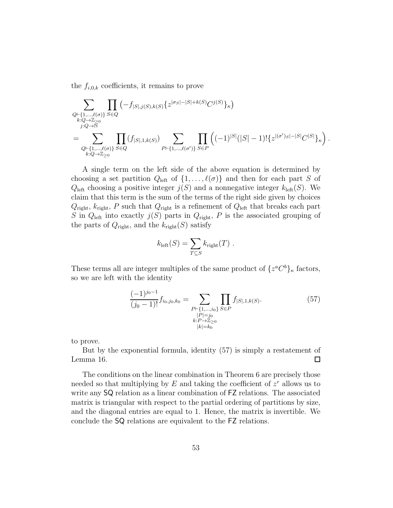the  $f_{i,0,k}$  coefficients, it remains to prove

$$
\sum_{\substack{Q \vdash \{1,\ldots,\ell(\sigma)\} \\ k:Q \to \mathbb{Z}_{\geq 0} \\ j:Q \to \mathbb{N}}} \prod_{S \in Q} (-f_{|S|,j(S),k(S)} \{z^{|\sigma_S|-|S|+k(S)} C^{j(S)}\}_{\kappa})
$$
\n
$$
= \sum_{\substack{Q \vdash \{1,\ldots,\ell(\sigma)\} \\ k:Q \to \mathbb{Z}_{\geq 0}}} \prod_{S \in Q} (f_{|S|,1,k(S)}) \sum_{P \vdash \{1,\ldots,\ell(\sigma')\}} \prod_{S \in P} \left( (-1)^{|S|} (|S|-1)! \{z^{|(\sigma')_S|-|S|} C^{|S|}\}_{\kappa} \right).
$$

A single term on the left side of the above equation is determined by choosing a set partition  $Q_{\text{left}}$  of  $\{1, \ldots, \ell(\sigma)\}\$  and then for each part S of  $Q_{\text{left}}$  choosing a positive integer  $j(S)$  and a nonnegative integer  $k_{\text{left}}(S)$ . We claim that this term is the sum of the terms of the right side given by choices  $Q_{\text{right}}$ ,  $k_{\text{right}}$ , P such that  $Q_{\text{right}}$  is a refinement of  $Q_{\text{left}}$  that breaks each part S in  $Q_{\text{left}}$  into exactly  $j(S)$  parts in  $Q_{\text{right}}$ , P is the associated grouping of the parts of  $Q_{\text{right}}$ , and the  $k_{\text{right}}(S)$  satisfy

$$
k_{\text{left}}(S) = \sum_{T \subseteq S} k_{\text{right}}(T) .
$$

These terms all are integer multiples of the same product of  $\{z^a C^b\}_\kappa$  factors, so we are left with the identity

$$
\frac{(-1)^{j_0-1}}{(j_0-1)!} f_{i_0,j_0,k_0} = \sum_{\substack{P \vdash \{1,\ldots,i_0\} \\ |P|=j_0 \\ k: P \to \mathbb{Z}_{\ge 0} \\ |k|=k_0}} \prod_{S \in P} f_{|S|,1,k(S)}.
$$
\n
$$
(57)
$$

to prove.

But by the exponential formula, identity (57) is simply a restatement of Lemma 16.  $\Box$ 

The conditions on the linear combination in Theorem 6 are precisely those needed so that multiplying by  $E$  and taking the coefficient of  $z^r$  allows us to write any SQ relation as a linear combination of FZ relations. The associated matrix is triangular with respect to the partial ordering of partitions by size, and the diagonal entries are equal to 1. Hence, the matrix is invertible. We conclude the SQ relations are equivalent to the FZ relations.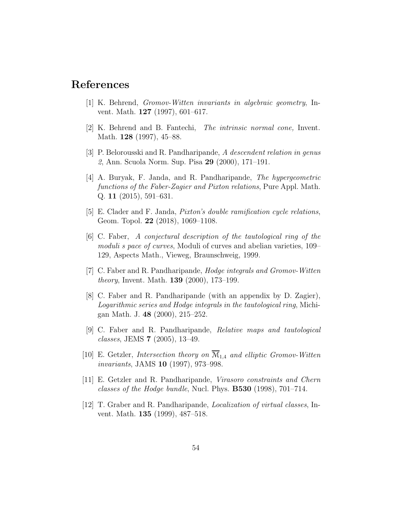# References

- [1] K. Behrend, *Gromov-Witten invariants in algebraic geometry*, Invent. Math. 127 (1997), 601–617.
- [2] K. Behrend and B. Fantechi, *The intrinsic normal cone,* Invent. Math. **128** (1997), 45–88.
- [3] P. Belorousski and R. Pandharipande, *A descendent relation in genus 2*, Ann. Scuola Norm. Sup. Pisa 29 (2000), 171–191.
- [4] A. Buryak, F. Janda, and R. Pandharipande, *The hypergeometric functions of the Faber-Zagier and Pixton relations*, Pure Appl. Math. Q. 11 (2015), 591–631.
- [5] E. Clader and F. Janda, *Pixton's double ramification cycle relations*, Geom. Topol. 22 (2018), 1069–1108.
- [6] C. Faber, *A conjectural description of the tautological ring of the moduli s pace of curves*, Moduli of curves and abelian varieties, 109– 129, Aspects Math., Vieweg, Braunschweig, 1999.
- [7] C. Faber and R. Pandharipande, *Hodge integrals and Gromov-Witten theory*, Invent. Math. 139 (2000), 173–199.
- [8] C. Faber and R. Pandharipande (with an appendix by D. Zagier), *Logarithmic series and Hodge integrals in the tautological ring*, Michigan Math. J. 48 (2000), 215–252.
- [9] C. Faber and R. Pandharipande, *Relative maps and tautological classes*, JEMS 7 (2005), 13–49.
- [10] E. Getzler, *Intersection theory on*  $\overline{M}_{1,4}$  *and elliptic Gromov-Witten invariants*, JAMS 10 (1997), 973–998.
- [11] E. Getzler and R. Pandharipande, *Virasoro constraints and Chern classes of the Hodge bundle*, Nucl. Phys. B530 (1998), 701–714.
- [12] T. Graber and R. Pandharipande, *Localization of virtual classes*, Invent. Math. 135 (1999), 487–518.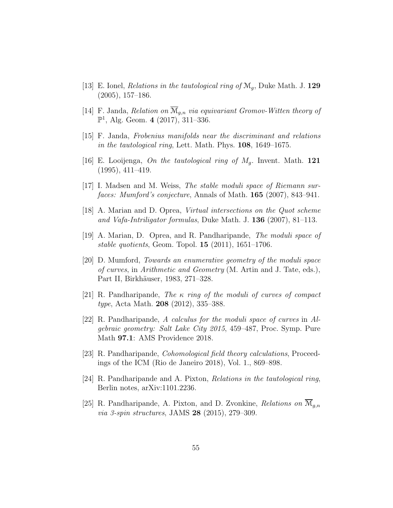- [13] E. Ionel, *Relations in the tautological ring of* Mg, Duke Math. J. 129 (2005), 157–186.
- [14] F. Janda, *Relation on*  $\overline{\mathcal{M}}_{g,n}$  *via equivariant Gromov-Witten theory of*  $\mathbb{P}^1$ , Alg. Geom. 4 (2017), 311-336.
- [15] F. Janda, *Frobenius manifolds near the discriminant and relations in the tautological ring*, Lett. Math. Phys. 108, 1649–1675.
- [16] E. Looijenga, *On the tautological ring of* Mg. Invent. Math. 121 (1995), 411–419.
- [17] I. Madsen and M. Weiss, *The stable moduli space of Riemann surfaces: Mumford's conjecture*, Annals of Math. 165 (2007), 843–941.
- [18] A. Marian and D. Oprea, *Virtual intersections on the Quot scheme and Vafa-Intriligator formulas*, Duke Math. J. 136 (2007), 81–113.
- [19] A. Marian, D. Oprea, and R. Pandharipande, *The moduli space of stable quotients*, Geom. Topol. 15 (2011), 1651–1706.
- [20] D. Mumford, *Towards an enumerative geometry of the moduli space of curves*, in *Arithmetic and Geometry* (M. Artin and J. Tate, eds.), Part II, Birkhäuser, 1983, 271–328.
- [21] R. Pandharipande, *The* κ *ring of the moduli of curves of compact type*, Acta Math. 208 (2012), 335–388.
- [22] R. Pandharipande, *A calculus for the moduli space of curves* in *Algebraic geometry: Salt Lake City 2015*, 459–487, Proc. Symp. Pure Math 97.1: AMS Providence 2018.
- [23] R. Pandharipande, *Cohomological field theory calculations*, Proceedings of the ICM (Rio de Janeiro 2018), Vol. 1., 869–898.
- [24] R. Pandharipande and A. Pixton, *Relations in the tautological ring*, Berlin notes, arXiv:1101.2236.
- [25] R. Pandharipande, A. Pixton, and D. Zvonkine, *Relations on* Mg,n *via 3-spin structures*, JAMS 28 (2015), 279–309.